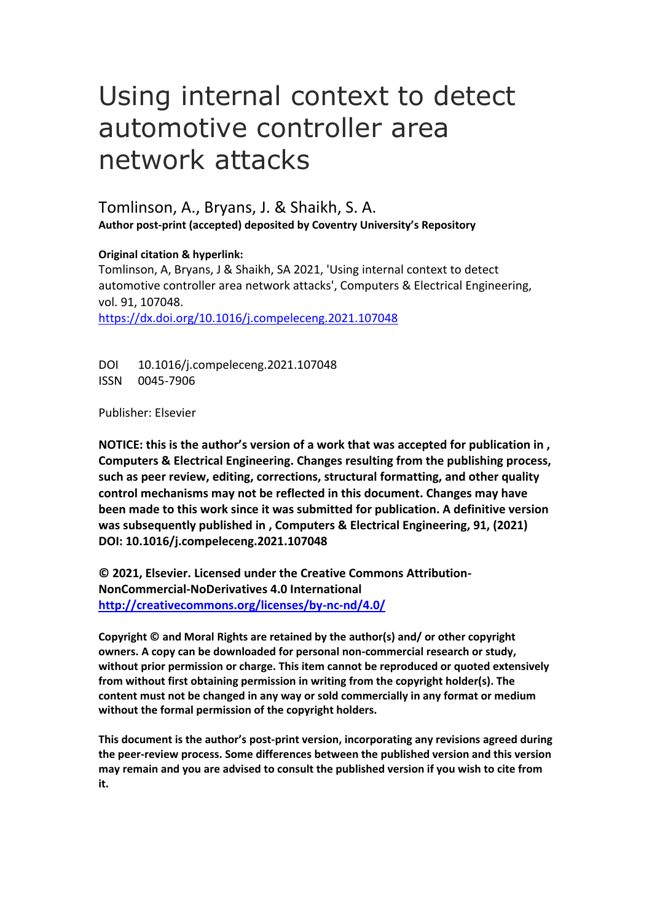# Using internal context to detect automotive controller area network attacks

Tomlinson, A., Bryans, J. & Shaikh, S. A. **Author post-print (accepted) deposited by Coventry University's Repository**

**Original citation & hyperlink:** 

Tomlinson, A, Bryans, J & Shaikh, SA 2021, 'Using internal context to detect automotive controller area network attacks', Computers & Electrical Engineering, vol. 91, 107048. <https://dx.doi.org/10.1016/j.compeleceng.2021.107048>

DOI 10.1016/j.compeleceng.2021.107048 ISSN 0045-7906

Publisher: Elsevier

**NOTICE: this is the author's version of a work that was accepted for publication in , Computers & Electrical Engineering. Changes resulting from the publishing process, such as peer review, editing, corrections, structural formatting, and other quality control mechanisms may not be reflected in this document. Changes may have been made to this work since it was submitted for publication. A definitive version was subsequently published in , Computers & Electrical Engineering, 91, (2021) DOI: 10.1016/j.compeleceng.2021.107048** 

**© 2021, Elsevier. Licensed under the Creative Commons Attribution-NonCommercial-NoDerivatives 4.0 International <http://creativecommons.org/licenses/by-nc-nd/4.0/>**

**Copyright © and Moral Rights are retained by the author(s) and/ or other copyright owners. A copy can be downloaded for personal non-commercial research or study, without prior permission or charge. This item cannot be reproduced or quoted extensively from without first obtaining permission in writing from the copyright holder(s). The content must not be changed in any way or sold commercially in any format or medium without the formal permission of the copyright holders.** 

**This document is the author's post-print version, incorporating any revisions agreed during the peer-review process. Some differences between the published version and this version may remain and you are advised to consult the published version if you wish to cite from it.**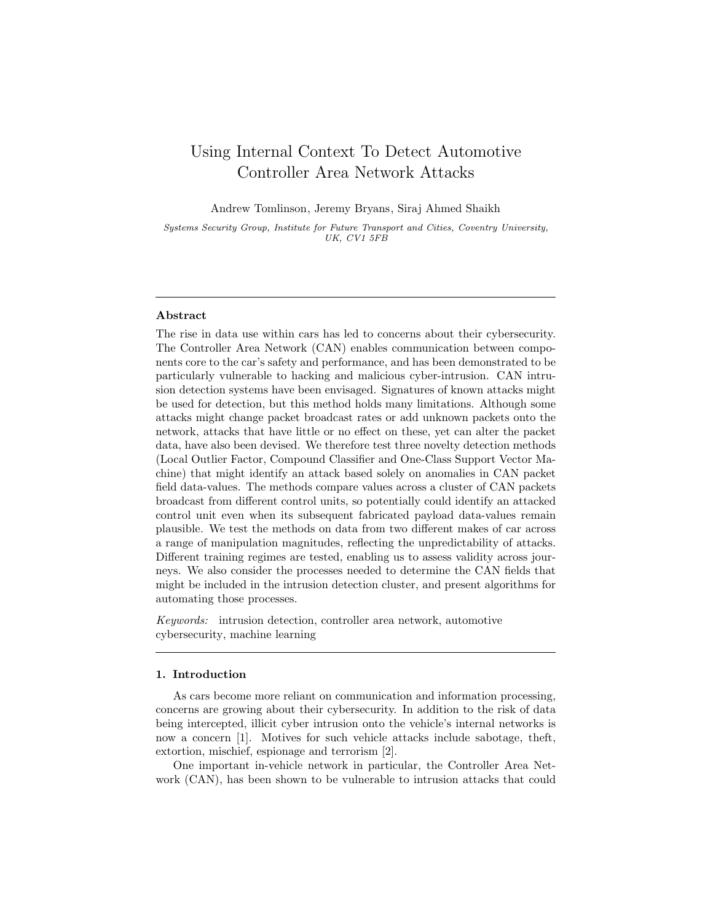# Using Internal Context To Detect Automotive Controller Area Network Attacks

Andrew Tomlinson, Jeremy Bryans, Siraj Ahmed Shaikh

Systems Security Group, Institute for Future Transport and Cities, Coventry University, UK, CV1 5FB

#### Abstract

The rise in data use within cars has led to concerns about their cybersecurity. The Controller Area Network (CAN) enables communication between components core to the car's safety and performance, and has been demonstrated to be particularly vulnerable to hacking and malicious cyber-intrusion. CAN intrusion detection systems have been envisaged. Signatures of known attacks might be used for detection, but this method holds many limitations. Although some attacks might change packet broadcast rates or add unknown packets onto the network, attacks that have little or no effect on these, yet can alter the packet data, have also been devised. We therefore test three novelty detection methods (Local Outlier Factor, Compound Classifier and One-Class Support Vector Machine) that might identify an attack based solely on anomalies in CAN packet field data-values. The methods compare values across a cluster of CAN packets broadcast from different control units, so potentially could identify an attacked control unit even when its subsequent fabricated payload data-values remain plausible. We test the methods on data from two different makes of car across a range of manipulation magnitudes, reflecting the unpredictability of attacks. Different training regimes are tested, enabling us to assess validity across journeys. We also consider the processes needed to determine the CAN fields that might be included in the intrusion detection cluster, and present algorithms for automating those processes.

Keywords: intrusion detection, controller area network, automotive cybersecurity, machine learning

#### 1. Introduction

As cars become more reliant on communication and information processing, concerns are growing about their cybersecurity. In addition to the risk of data being intercepted, illicit cyber intrusion onto the vehicle's internal networks is now a concern [1]. Motives for such vehicle attacks include sabotage, theft, extortion, mischief, espionage and terrorism [2].

One important in-vehicle network in particular, the Controller Area Network (CAN), has been shown to be vulnerable to intrusion attacks that could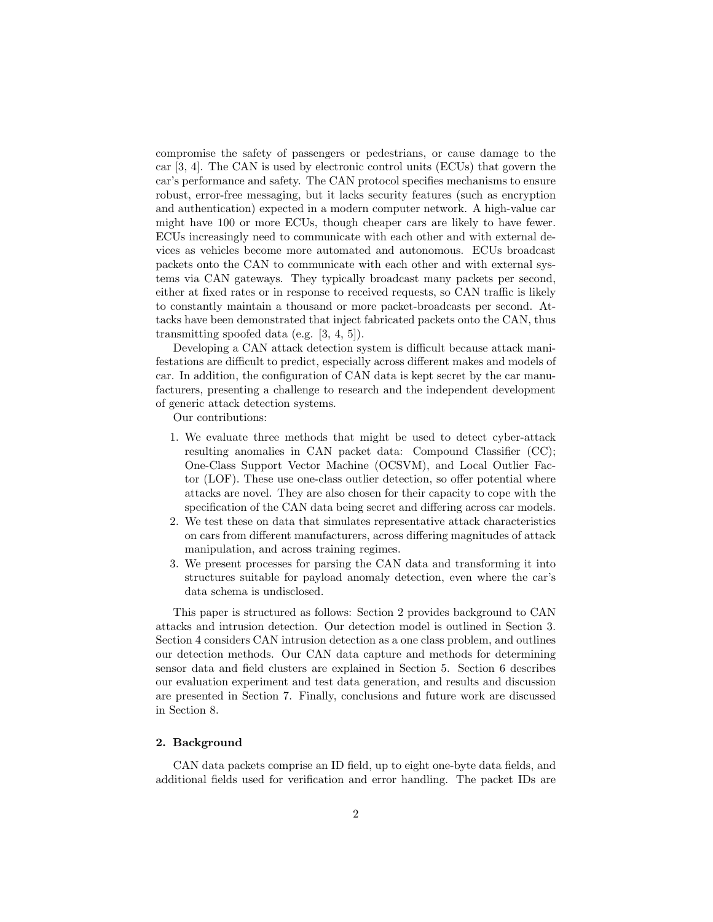compromise the safety of passengers or pedestrians, or cause damage to the car [3, 4]. The CAN is used by electronic control units (ECUs) that govern the car's performance and safety. The CAN protocol specifies mechanisms to ensure robust, error-free messaging, but it lacks security features (such as encryption and authentication) expected in a modern computer network. A high-value car might have 100 or more ECUs, though cheaper cars are likely to have fewer. ECUs increasingly need to communicate with each other and with external devices as vehicles become more automated and autonomous. ECUs broadcast packets onto the CAN to communicate with each other and with external systems via CAN gateways. They typically broadcast many packets per second, either at fixed rates or in response to received requests, so CAN traffic is likely to constantly maintain a thousand or more packet-broadcasts per second. Attacks have been demonstrated that inject fabricated packets onto the CAN, thus transmitting spoofed data (e.g. [3, 4, 5]).

Developing a CAN attack detection system is difficult because attack manifestations are difficult to predict, especially across different makes and models of car. In addition, the configuration of CAN data is kept secret by the car manufacturers, presenting a challenge to research and the independent development of generic attack detection systems.

Our contributions:

- 1. We evaluate three methods that might be used to detect cyber-attack resulting anomalies in CAN packet data: Compound Classifier (CC); One-Class Support Vector Machine (OCSVM), and Local Outlier Factor (LOF). These use one-class outlier detection, so offer potential where attacks are novel. They are also chosen for their capacity to cope with the specification of the CAN data being secret and differing across car models.
- 2. We test these on data that simulates representative attack characteristics on cars from different manufacturers, across differing magnitudes of attack manipulation, and across training regimes.
- 3. We present processes for parsing the CAN data and transforming it into structures suitable for payload anomaly detection, even where the car's data schema is undisclosed.

This paper is structured as follows: Section 2 provides background to CAN attacks and intrusion detection. Our detection model is outlined in Section 3. Section 4 considers CAN intrusion detection as a one class problem, and outlines our detection methods. Our CAN data capture and methods for determining sensor data and field clusters are explained in Section 5. Section 6 describes our evaluation experiment and test data generation, and results and discussion are presented in Section 7. Finally, conclusions and future work are discussed in Section 8.

# 2. Background

CAN data packets comprise an ID field, up to eight one-byte data fields, and additional fields used for verification and error handling. The packet IDs are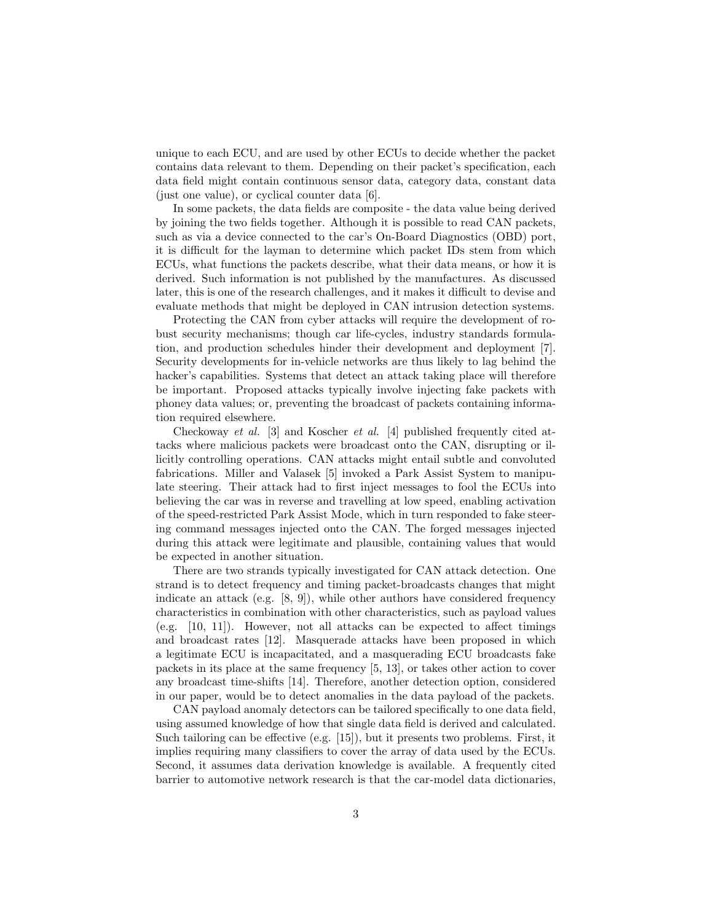unique to each ECU, and are used by other ECUs to decide whether the packet contains data relevant to them. Depending on their packet's specification, each data field might contain continuous sensor data, category data, constant data (just one value), or cyclical counter data [6].

In some packets, the data fields are composite - the data value being derived by joining the two fields together. Although it is possible to read CAN packets, such as via a device connected to the car's On-Board Diagnostics (OBD) port, it is difficult for the layman to determine which packet IDs stem from which ECUs, what functions the packets describe, what their data means, or how it is derived. Such information is not published by the manufactures. As discussed later, this is one of the research challenges, and it makes it difficult to devise and evaluate methods that might be deployed in CAN intrusion detection systems.

Protecting the CAN from cyber attacks will require the development of robust security mechanisms; though car life-cycles, industry standards formulation, and production schedules hinder their development and deployment [7]. Security developments for in-vehicle networks are thus likely to lag behind the hacker's capabilities. Systems that detect an attack taking place will therefore be important. Proposed attacks typically involve injecting fake packets with phoney data values; or, preventing the broadcast of packets containing information required elsewhere.

Checkoway et al. [3] and Koscher et al. [4] published frequently cited attacks where malicious packets were broadcast onto the CAN, disrupting or illicitly controlling operations. CAN attacks might entail subtle and convoluted fabrications. Miller and Valasek [5] invoked a Park Assist System to manipulate steering. Their attack had to first inject messages to fool the ECUs into believing the car was in reverse and travelling at low speed, enabling activation of the speed-restricted Park Assist Mode, which in turn responded to fake steering command messages injected onto the CAN. The forged messages injected during this attack were legitimate and plausible, containing values that would be expected in another situation.

There are two strands typically investigated for CAN attack detection. One strand is to detect frequency and timing packet-broadcasts changes that might indicate an attack (e.g.  $[8, 9]$ ), while other authors have considered frequency characteristics in combination with other characteristics, such as payload values (e.g. [10, 11]). However, not all attacks can be expected to affect timings and broadcast rates [12]. Masquerade attacks have been proposed in which a legitimate ECU is incapacitated, and a masquerading ECU broadcasts fake packets in its place at the same frequency [5, 13], or takes other action to cover any broadcast time-shifts [14]. Therefore, another detection option, considered in our paper, would be to detect anomalies in the data payload of the packets.

CAN payload anomaly detectors can be tailored specifically to one data field, using assumed knowledge of how that single data field is derived and calculated. Such tailoring can be effective (e.g. [15]), but it presents two problems. First, it implies requiring many classifiers to cover the array of data used by the ECUs. Second, it assumes data derivation knowledge is available. A frequently cited barrier to automotive network research is that the car-model data dictionaries,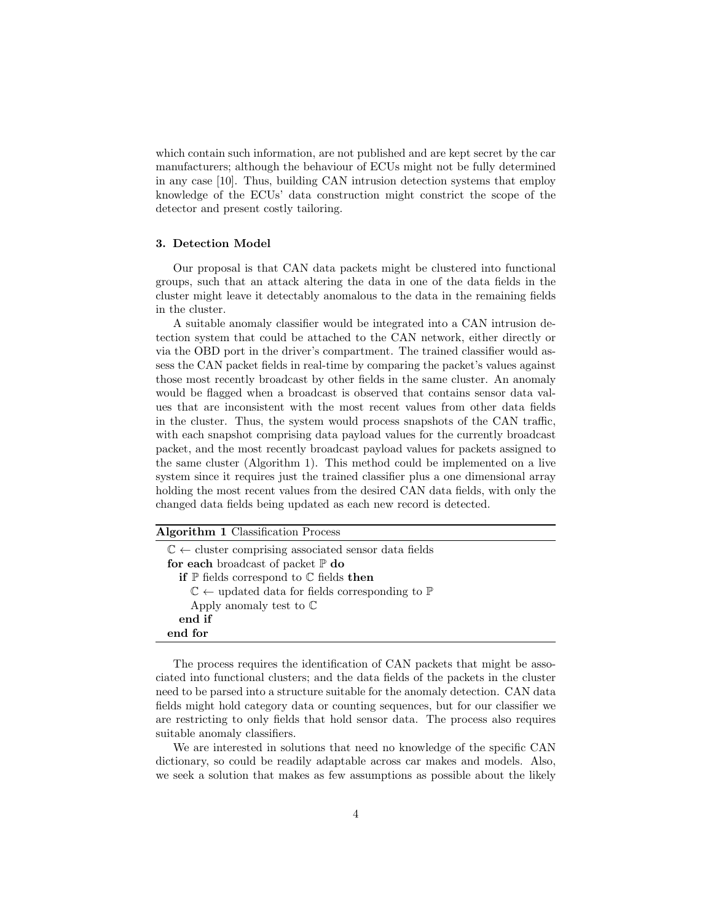which contain such information, are not published and are kept secret by the car manufacturers; although the behaviour of ECUs might not be fully determined in any case [10]. Thus, building CAN intrusion detection systems that employ knowledge of the ECUs' data construction might constrict the scope of the detector and present costly tailoring.

# 3. Detection Model

Our proposal is that CAN data packets might be clustered into functional groups, such that an attack altering the data in one of the data fields in the cluster might leave it detectably anomalous to the data in the remaining fields in the cluster.

A suitable anomaly classifier would be integrated into a CAN intrusion detection system that could be attached to the CAN network, either directly or via the OBD port in the driver's compartment. The trained classifier would assess the CAN packet fields in real-time by comparing the packet's values against those most recently broadcast by other fields in the same cluster. An anomaly would be flagged when a broadcast is observed that contains sensor data values that are inconsistent with the most recent values from other data fields in the cluster. Thus, the system would process snapshots of the CAN traffic, with each snapshot comprising data payload values for the currently broadcast packet, and the most recently broadcast payload values for packets assigned to the same cluster (Algorithm 1). This method could be implemented on a live system since it requires just the trained classifier plus a one dimensional array holding the most recent values from the desired CAN data fields, with only the changed data fields being updated as each new record is detected.

| <b>Algorithm 1 Classification Process</b>                                     |
|-------------------------------------------------------------------------------|
| $\mathbb{C} \leftarrow$ cluster comprising associated sensor data fields      |
| for each broadcast of packet $\mathbb P$ do                                   |
| if $\mathbb P$ fields correspond to $\mathbb C$ fields then                   |
| $\mathbb{C} \leftarrow$ updated data for fields corresponding to $\mathbb{P}$ |
| Apply anomaly test to $\mathbb C$                                             |
| end if                                                                        |
| end for                                                                       |

The process requires the identification of CAN packets that might be associated into functional clusters; and the data fields of the packets in the cluster need to be parsed into a structure suitable for the anomaly detection. CAN data fields might hold category data or counting sequences, but for our classifier we are restricting to only fields that hold sensor data. The process also requires suitable anomaly classifiers.

We are interested in solutions that need no knowledge of the specific CAN dictionary, so could be readily adaptable across car makes and models. Also, we seek a solution that makes as few assumptions as possible about the likely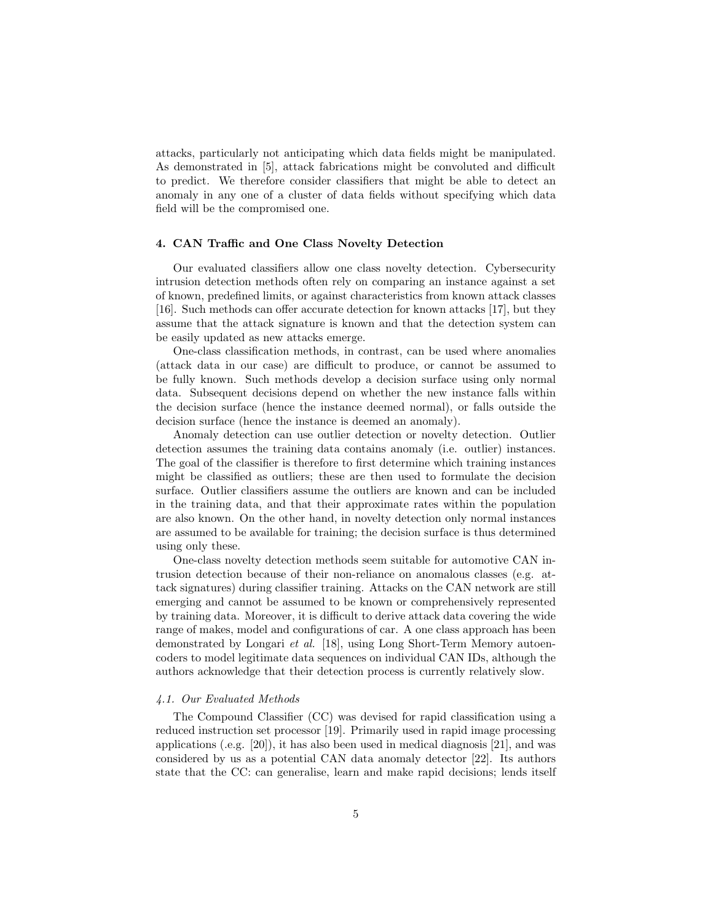attacks, particularly not anticipating which data fields might be manipulated. As demonstrated in [5], attack fabrications might be convoluted and difficult to predict. We therefore consider classifiers that might be able to detect an anomaly in any one of a cluster of data fields without specifying which data field will be the compromised one.

# 4. CAN Traffic and One Class Novelty Detection

Our evaluated classifiers allow one class novelty detection. Cybersecurity intrusion detection methods often rely on comparing an instance against a set of known, predefined limits, or against characteristics from known attack classes [16]. Such methods can offer accurate detection for known attacks [17], but they assume that the attack signature is known and that the detection system can be easily updated as new attacks emerge.

One-class classification methods, in contrast, can be used where anomalies (attack data in our case) are difficult to produce, or cannot be assumed to be fully known. Such methods develop a decision surface using only normal data. Subsequent decisions depend on whether the new instance falls within the decision surface (hence the instance deemed normal), or falls outside the decision surface (hence the instance is deemed an anomaly).

Anomaly detection can use outlier detection or novelty detection. Outlier detection assumes the training data contains anomaly (i.e. outlier) instances. The goal of the classifier is therefore to first determine which training instances might be classified as outliers; these are then used to formulate the decision surface. Outlier classifiers assume the outliers are known and can be included in the training data, and that their approximate rates within the population are also known. On the other hand, in novelty detection only normal instances are assumed to be available for training; the decision surface is thus determined using only these.

One-class novelty detection methods seem suitable for automotive CAN intrusion detection because of their non-reliance on anomalous classes (e.g. attack signatures) during classifier training. Attacks on the CAN network are still emerging and cannot be assumed to be known or comprehensively represented by training data. Moreover, it is difficult to derive attack data covering the wide range of makes, model and configurations of car. A one class approach has been demonstrated by Longari et al. [18], using Long Short-Term Memory autoencoders to model legitimate data sequences on individual CAN IDs, although the authors acknowledge that their detection process is currently relatively slow.

#### 4.1. Our Evaluated Methods

The Compound Classifier (CC) was devised for rapid classification using a reduced instruction set processor [19]. Primarily used in rapid image processing applications (.e.g. [20]), it has also been used in medical diagnosis [21], and was considered by us as a potential CAN data anomaly detector [22]. Its authors state that the CC: can generalise, learn and make rapid decisions; lends itself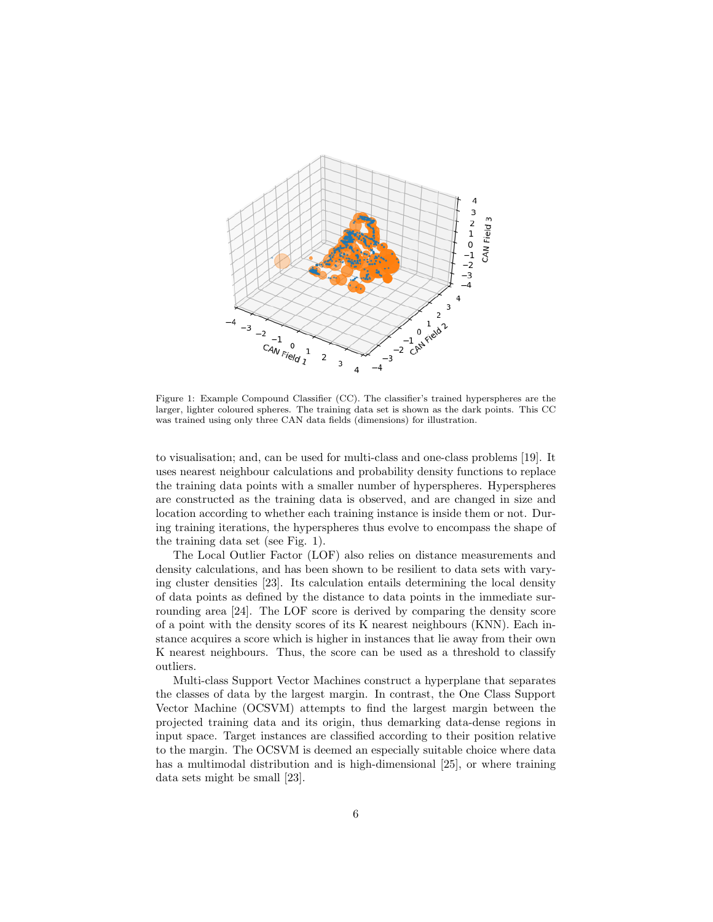

Figure 1: Example Compound Classifier (CC). The classifier's trained hyperspheres are the larger, lighter coloured spheres. The training data set is shown as the dark points. This CC was trained using only three CAN data fields (dimensions) for illustration.

to visualisation; and, can be used for multi-class and one-class problems [19]. It uses nearest neighbour calculations and probability density functions to replace the training data points with a smaller number of hyperspheres. Hyperspheres are constructed as the training data is observed, and are changed in size and location according to whether each training instance is inside them or not. During training iterations, the hyperspheres thus evolve to encompass the shape of the training data set (see Fig. 1).

The Local Outlier Factor (LOF) also relies on distance measurements and density calculations, and has been shown to be resilient to data sets with varying cluster densities [23]. Its calculation entails determining the local density of data points as defined by the distance to data points in the immediate surrounding area [24]. The LOF score is derived by comparing the density score of a point with the density scores of its K nearest neighbours (KNN). Each instance acquires a score which is higher in instances that lie away from their own K nearest neighbours. Thus, the score can be used as a threshold to classify outliers.

Multi-class Support Vector Machines construct a hyperplane that separates the classes of data by the largest margin. In contrast, the One Class Support Vector Machine (OCSVM) attempts to find the largest margin between the projected training data and its origin, thus demarking data-dense regions in input space. Target instances are classified according to their position relative to the margin. The OCSVM is deemed an especially suitable choice where data has a multimodal distribution and is high-dimensional [25], or where training data sets might be small [23].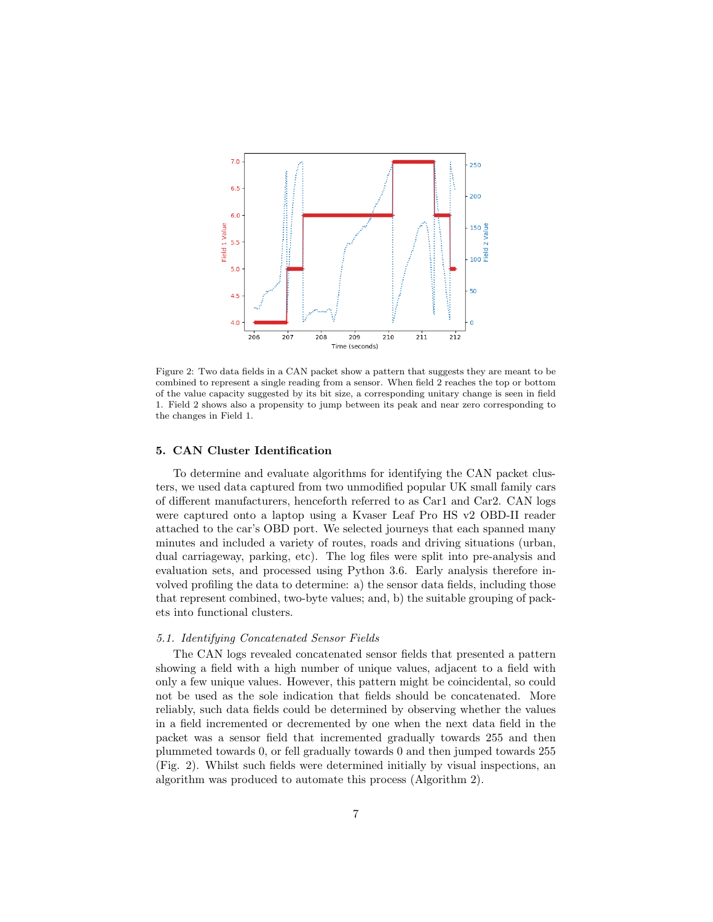

Figure 2: Two data fields in a CAN packet show a pattern that suggests they are meant to be combined to represent a single reading from a sensor. When field 2 reaches the top or bottom of the value capacity suggested by its bit size, a corresponding unitary change is seen in field 1. Field 2 shows also a propensity to jump between its peak and near zero corresponding to the changes in Field 1.

#### 5. CAN Cluster Identification

To determine and evaluate algorithms for identifying the CAN packet clusters, we used data captured from two unmodified popular UK small family cars of different manufacturers, henceforth referred to as Car1 and Car2. CAN logs were captured onto a laptop using a Kvaser Leaf Pro HS v2 OBD-II reader attached to the car's OBD port. We selected journeys that each spanned many minutes and included a variety of routes, roads and driving situations (urban, dual carriageway, parking, etc). The log files were split into pre-analysis and evaluation sets, and processed using Python 3.6. Early analysis therefore involved profiling the data to determine: a) the sensor data fields, including those that represent combined, two-byte values; and, b) the suitable grouping of packets into functional clusters.

# 5.1. Identifying Concatenated Sensor Fields

The CAN logs revealed concatenated sensor fields that presented a pattern showing a field with a high number of unique values, adjacent to a field with only a few unique values. However, this pattern might be coincidental, so could not be used as the sole indication that fields should be concatenated. More reliably, such data fields could be determined by observing whether the values in a field incremented or decremented by one when the next data field in the packet was a sensor field that incremented gradually towards 255 and then plummeted towards 0, or fell gradually towards 0 and then jumped towards 255 (Fig. 2). Whilst such fields were determined initially by visual inspections, an algorithm was produced to automate this process (Algorithm 2).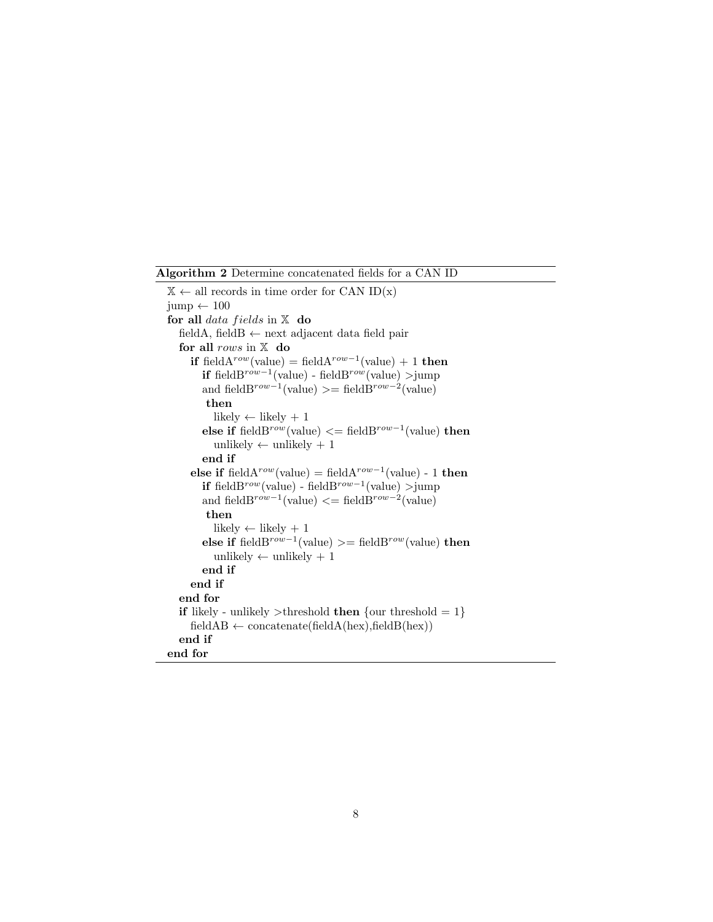Algorithm 2 Determine concatenated fields for a CAN ID

 $X \leftarrow$  all records in time order for CAN ID(x)  $jump \leftarrow 100$ for all data fields in  $X$  do fieldA, fieldB  $\leftarrow$  next adjacent data field pair for all rows in  $X$  do if field $A^{row}$ (value) = field $A^{row-1}$ (value) + 1 then if fieldB<sup>row-1</sup>(value) - fieldB<sup>row</sup>(value) >jump and fieldB<sup>row-1</sup>(value) >= fieldB<sup>row-2</sup>(value) then likely  $\leftarrow$  likely + 1 else if fieldB<sup>row</sup>(value)  $\leq$  fieldB<sup>row-1</sup>(value) then unlikely  $\leftarrow$  unlikely  $+1$ end if else if field $A^{row}$ (value) = field $A^{row-1}$ (value) - 1 then if fieldB<sup>row</sup>(value) - fieldB<sup>row−1</sup>(value) >jump and fieldB<sup>row-1</sup>(value)  $\langle = \text{fieldB}^{\text{row}-2}(\text{value}) \rangle$ then likely  $\leftarrow$  likely + 1 else if fieldB<sup>row-1</sup>(value) >= fieldB<sup>row</sup>(value) then unlikely  $\leftarrow$  unlikely + 1 end if end if end for if likely - unlikely >threshold then {our threshold  $= 1$ }  $fieldAB \leftarrow concatenate(fieldA(hex),fieldB(hex))$ end if end for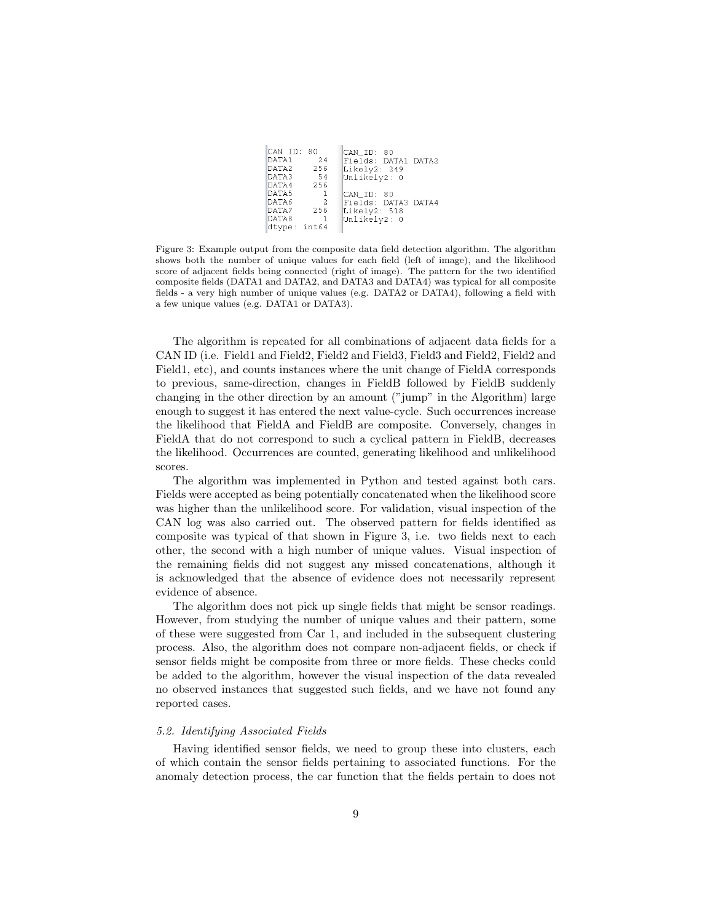| CAN ID: 80   |              | CAN ID: 80          |
|--------------|--------------|---------------------|
| DATA1 24     |              | Fields: DATA1 DATA2 |
| DATA2        | 256          | Likely2: 249        |
| DATA3 54     |              | Unlikely2: 0        |
| DATA4        | 256          |                     |
| DATA5        | 1            | CAN ID: 80          |
| DATA6        | -2           | Fields: DATA3 DATA4 |
| DATA7        | 256          | Likely2: 518        |
| DATA8        | $\mathbf{1}$ | Unlikely2: 0        |
| dtype: int64 |              |                     |

Figure 3: Example output from the composite data field detection algorithm. The algorithm shows both the number of unique values for each field (left of image), and the likelihood score of adjacent fields being connected (right of image). The pattern for the two identified composite fields (DATA1 and DATA2, and DATA3 and DATA4) was typical for all composite fields - a very high number of unique values (e.g. DATA2 or DATA4), following a field with a few unique values (e.g. DATA1 or DATA3).

The algorithm is repeated for all combinations of adjacent data fields for a CAN ID (i.e. Field1 and Field2, Field2 and Field3, Field3 and Field2, Field2 and Field1, etc), and counts instances where the unit change of FieldA corresponds to previous, same-direction, changes in FieldB followed by FieldB suddenly changing in the other direction by an amount ("jump" in the Algorithm) large enough to suggest it has entered the next value-cycle. Such occurrences increase the likelihood that FieldA and FieldB are composite. Conversely, changes in FieldA that do not correspond to such a cyclical pattern in FieldB, decreases the likelihood. Occurrences are counted, generating likelihood and unlikelihood scores.

The algorithm was implemented in Python and tested against both cars. Fields were accepted as being potentially concatenated when the likelihood score was higher than the unlikelihood score. For validation, visual inspection of the CAN log was also carried out. The observed pattern for fields identified as composite was typical of that shown in Figure 3, i.e. two fields next to each other, the second with a high number of unique values. Visual inspection of the remaining fields did not suggest any missed concatenations, although it is acknowledged that the absence of evidence does not necessarily represent evidence of absence.

The algorithm does not pick up single fields that might be sensor readings. However, from studying the number of unique values and their pattern, some of these were suggested from Car 1, and included in the subsequent clustering process. Also, the algorithm does not compare non-adjacent fields, or check if sensor fields might be composite from three or more fields. These checks could be added to the algorithm, however the visual inspection of the data revealed no observed instances that suggested such fields, and we have not found any reported cases.

#### 5.2. Identifying Associated Fields

Having identified sensor fields, we need to group these into clusters, each of which contain the sensor fields pertaining to associated functions. For the anomaly detection process, the car function that the fields pertain to does not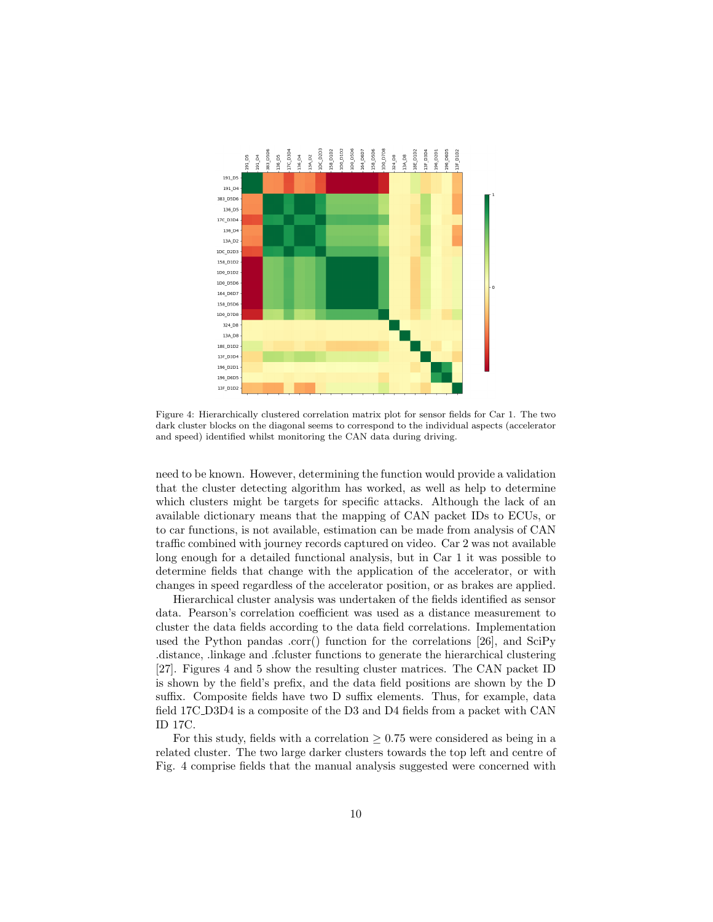

Figure 4: Hierarchically clustered correlation matrix plot for sensor fields for Car 1. The two dark cluster blocks on the diagonal seems to correspond to the individual aspects (accelerator and speed) identified whilst monitoring the CAN data during driving.

need to be known. However, determining the function would provide a validation that the cluster detecting algorithm has worked, as well as help to determine which clusters might be targets for specific attacks. Although the lack of an available dictionary means that the mapping of CAN packet IDs to ECUs, or to car functions, is not available, estimation can be made from analysis of CAN traffic combined with journey records captured on video. Car 2 was not available long enough for a detailed functional analysis, but in Car 1 it was possible to determine fields that change with the application of the accelerator, or with changes in speed regardless of the accelerator position, or as brakes are applied.

Hierarchical cluster analysis was undertaken of the fields identified as sensor data. Pearson's correlation coefficient was used as a distance measurement to cluster the data fields according to the data field correlations. Implementation used the Python pandas .corr() function for the correlations [26], and SciPy .distance, .linkage and .fcluster functions to generate the hierarchical clustering [27]. Figures 4 and 5 show the resulting cluster matrices. The CAN packet ID is shown by the field's prefix, and the data field positions are shown by the D suffix. Composite fields have two D suffix elements. Thus, for example, data field 17C D3D4 is a composite of the D3 and D4 fields from a packet with CAN ID 17C.

For this study, fields with a correlation  $\geq 0.75$  were considered as being in a related cluster. The two large darker clusters towards the top left and centre of Fig. 4 comprise fields that the manual analysis suggested were concerned with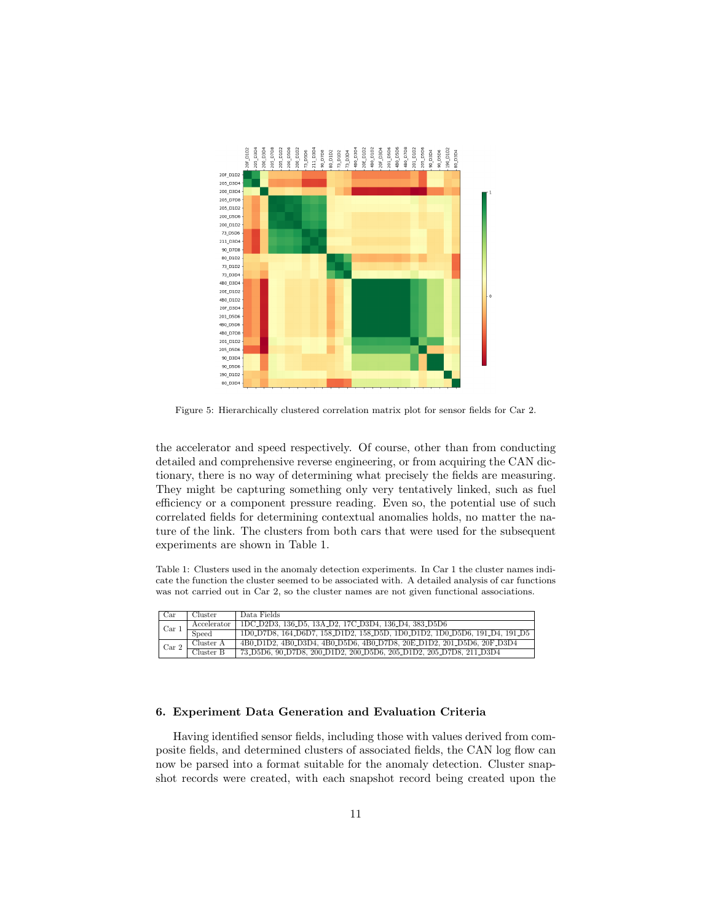

Figure 5: Hierarchically clustered correlation matrix plot for sensor fields for Car 2.

the accelerator and speed respectively. Of course, other than from conducting detailed and comprehensive reverse engineering, or from acquiring the CAN dictionary, there is no way of determining what precisely the fields are measuring. They might be capturing something only very tentatively linked, such as fuel efficiency or a component pressure reading. Even so, the potential use of such correlated fields for determining contextual anomalies holds, no matter the nature of the link. The clusters from both cars that were used for the subsequent experiments are shown in Table 1.

Table 1: Clusters used in the anomaly detection experiments. In Car 1 the cluster names indicate the function the cluster seemed to be associated with. A detailed analysis of car functions was not carried out in Car 2, so the cluster names are not given functional associations.

| Car              | Cluster     | Data Fields                                                               |
|------------------|-------------|---------------------------------------------------------------------------|
| Car <sub>1</sub> | Accelerator | IDC_D2D3, 136_D5, 13A_D2, 17C_D3D4, 136_D4, 383_D5D6                      |
|                  | Speed       | 1D0.D7D8, 164.D6D7, 158.D1D2, 158.D5D, 1D0.D1D2, 1D0.D5D6, 191.D4, 191.D5 |
| Car <sub>2</sub> | Cluster A   | 4B0_D1D2, 4B0_D3D4, 4B0_D5D6, 4B0_D7D8, 20E_D1D2, 201_D5D6, 20F_D3D4      |
|                  | Cluster B   | 73_D5D6, 90_D7D8, 200_D1D2, 200_D5D6, 205_D1D2, 205_D7D8, 211_D3D4        |

# 6. Experiment Data Generation and Evaluation Criteria

Having identified sensor fields, including those with values derived from composite fields, and determined clusters of associated fields, the CAN log flow can now be parsed into a format suitable for the anomaly detection. Cluster snapshot records were created, with each snapshot record being created upon the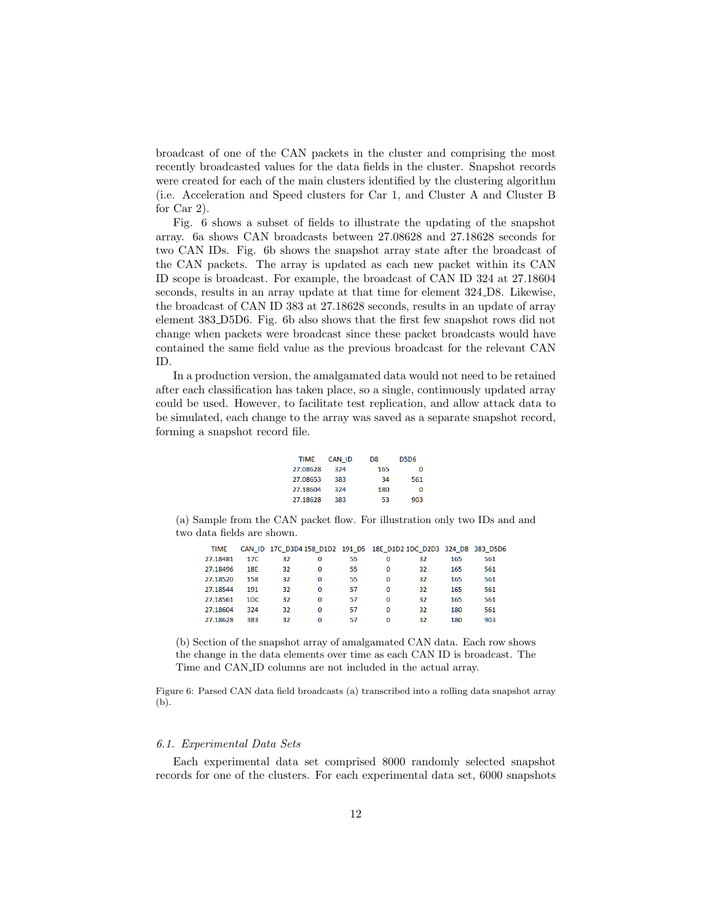broadcast of one of the CAN packets in the cluster and comprising the most recently broadcasted values for the data fields in the cluster. Snapshot records were created for each of the main clusters identified by the clustering algorithm (i.e. Acceleration and Speed clusters for Car 1, and Cluster A and Cluster B for Car 2).

Fig. 6 shows a subset of fields to illustrate the updating of the snapshot array. 6a shows CAN broadcasts between 27.08628 and 27.18628 seconds for two CAN IDs. Fig. 6b shows the snapshot array state after the broadcast of the CAN packets. The array is updated as each new packet within its CAN ID scope is broadcast. For example, the broadcast of CAN ID 324 at 27.18604 seconds, results in an array update at that time for element 324 D8. Likewise, the broadcast of CAN ID 383 at 27.18628 seconds, results in an update of array element 383 D5D6. Fig. 6b also shows that the first few snapshot rows did not change when packets were broadcast since these packet broadcasts would have contained the same field value as the previous broadcast for the relevant CAN ID.

In a production version, the amalgamated data would not need to be retained after each classification has taken place, so a single, continuously updated array could be used. However, to facilitate test replication, and allow attack data to be simulated, each change to the array was saved as a separate snapshot record, forming a snapshot record file.

| <b>TIMF</b> | <b>CAN ID</b> | D <sub>8</sub> | <b>D5D6</b> |
|-------------|---------------|----------------|-------------|
| 27.08628    | 324           | 165            | O           |
| 27.08653    | 383           | 34             | 561         |
| 27.18604    | 324           | 180            | Ω           |
| 27.18628    | 383           | 53             | 903         |

(a) Sample from the CAN packet flow. For illustration only two IDs and and two data fields are shown.

| <b>TIME</b> |                 |    |          |    | CAN ID 17C D3D4 158 D1D2 191 D5 18E D1D2 1DC D2D3 324 D8 383 D5D6 |    |     |     |
|-------------|-----------------|----|----------|----|-------------------------------------------------------------------|----|-----|-----|
| 27.18481    | 17 <sub>C</sub> | 32 | 0        | 55 | 0                                                                 | 32 | 165 | 561 |
| 27.18496    | <b>18E</b>      | 32 | 0        | 55 | O                                                                 | 32 | 165 | 561 |
| 27.18520    | 158             | 32 | 0        | 55 | $\bf{0}$                                                          | 32 | 165 | 561 |
| 27.18544    | 191             | 32 | $\Omega$ | 57 | $\Omega$                                                          | 32 | 165 | 561 |
| 27.18561    | 1DC.            | 32 | $\Omega$ | 57 | O                                                                 | 32 | 165 | 561 |
| 27.18604    | 324             | 32 | 0        | 57 | O                                                                 | 32 | 180 | 561 |
| 27.18628    | 383             | 32 | 0        | 57 | 0                                                                 | 32 | 180 | 903 |

(b) Section of the snapshot array of amalgamated CAN data. Each row shows the change in the data elements over time as each CAN ID is broadcast. The Time and CAN ID columns are not included in the actual array.

Figure 6: Parsed CAN data field broadcasts (a) transcribed into a rolling data snapshot array (b).

# 6.1. Experimental Data Sets

Each experimental data set comprised 8000 randomly selected snapshot records for one of the clusters. For each experimental data set, 6000 snapshots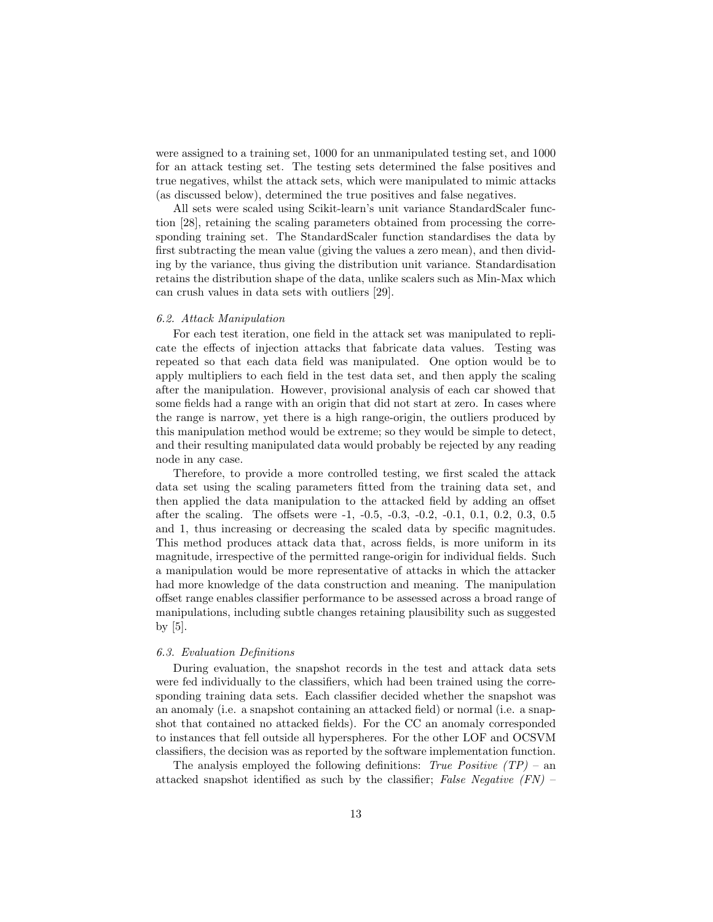were assigned to a training set, 1000 for an unmanipulated testing set, and 1000 for an attack testing set. The testing sets determined the false positives and true negatives, whilst the attack sets, which were manipulated to mimic attacks (as discussed below), determined the true positives and false negatives.

All sets were scaled using Scikit-learn's unit variance StandardScaler function [28], retaining the scaling parameters obtained from processing the corresponding training set. The StandardScaler function standardises the data by first subtracting the mean value (giving the values a zero mean), and then dividing by the variance, thus giving the distribution unit variance. Standardisation retains the distribution shape of the data, unlike scalers such as Min-Max which can crush values in data sets with outliers [29].

#### 6.2. Attack Manipulation

For each test iteration, one field in the attack set was manipulated to replicate the effects of injection attacks that fabricate data values. Testing was repeated so that each data field was manipulated. One option would be to apply multipliers to each field in the test data set, and then apply the scaling after the manipulation. However, provisional analysis of each car showed that some fields had a range with an origin that did not start at zero. In cases where the range is narrow, yet there is a high range-origin, the outliers produced by this manipulation method would be extreme; so they would be simple to detect, and their resulting manipulated data would probably be rejected by any reading node in any case.

Therefore, to provide a more controlled testing, we first scaled the attack data set using the scaling parameters fitted from the training data set, and then applied the data manipulation to the attacked field by adding an offset after the scaling. The offsets were -1, -0.5, -0.3, -0.2, -0.1, 0.1, 0.2, 0.3, 0.5 and 1, thus increasing or decreasing the scaled data by specific magnitudes. This method produces attack data that, across fields, is more uniform in its magnitude, irrespective of the permitted range-origin for individual fields. Such a manipulation would be more representative of attacks in which the attacker had more knowledge of the data construction and meaning. The manipulation offset range enables classifier performance to be assessed across a broad range of manipulations, including subtle changes retaining plausibility such as suggested by [5].

# 6.3. Evaluation Definitions

During evaluation, the snapshot records in the test and attack data sets were fed individually to the classifiers, which had been trained using the corresponding training data sets. Each classifier decided whether the snapshot was an anomaly (i.e. a snapshot containing an attacked field) or normal (i.e. a snapshot that contained no attacked fields). For the CC an anomaly corresponded to instances that fell outside all hyperspheres. For the other LOF and OCSVM classifiers, the decision was as reported by the software implementation function.

The analysis employed the following definitions: True Positive  $(TP)$  – an attacked snapshot identified as such by the classifier; False Negative (FN) –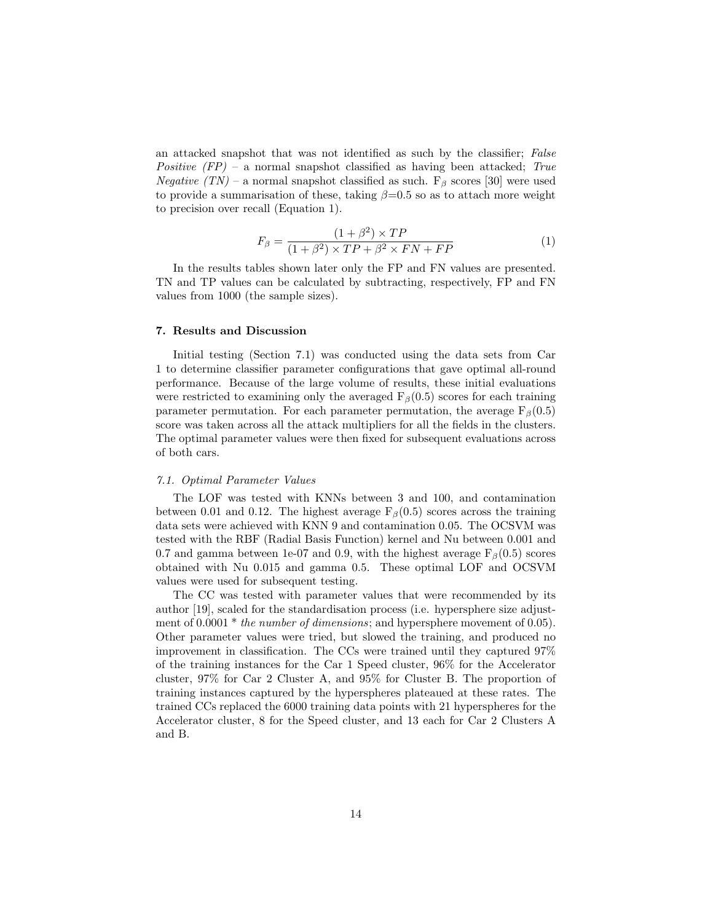an attacked snapshot that was not identified as such by the classifier; False Positive  $(FP)$  – a normal snapshot classified as having been attacked; True Negative  $(TN)$  – a normal snapshot classified as such.  $F_\beta$  scores [30] were used to provide a summarisation of these, taking  $\beta=0.5$  so as to attach more weight to precision over recall (Equation 1).

$$
F_{\beta} = \frac{(1+\beta^2) \times TP}{(1+\beta^2) \times TP + \beta^2 \times FN + FP}
$$
 (1)

In the results tables shown later only the FP and FN values are presented. TN and TP values can be calculated by subtracting, respectively, FP and FN values from 1000 (the sample sizes).

#### 7. Results and Discussion

Initial testing (Section 7.1) was conducted using the data sets from Car 1 to determine classifier parameter configurations that gave optimal all-round performance. Because of the large volume of results, these initial evaluations were restricted to examining only the averaged  $F_\beta(0.5)$  scores for each training parameter permutation. For each parameter permutation, the average  $F_\beta(0.5)$ score was taken across all the attack multipliers for all the fields in the clusters. The optimal parameter values were then fixed for subsequent evaluations across of both cars.

#### 7.1. Optimal Parameter Values

The LOF was tested with KNNs between 3 and 100, and contamination between 0.01 and 0.12. The highest average  $F_\beta(0.5)$  scores across the training data sets were achieved with KNN 9 and contamination 0.05. The OCSVM was tested with the RBF (Radial Basis Function) kernel and Nu between 0.001 and 0.7 and gamma between 1e-07 and 0.9, with the highest average  $F_\beta(0.5)$  scores obtained with Nu 0.015 and gamma 0.5. These optimal LOF and OCSVM values were used for subsequent testing.

The CC was tested with parameter values that were recommended by its author [19], scaled for the standardisation process (i.e. hypersphere size adjustment of  $0.0001 *$  the number of dimensions; and hypersphere movement of  $0.05$ ). Other parameter values were tried, but slowed the training, and produced no improvement in classification. The CCs were trained until they captured 97% of the training instances for the Car 1 Speed cluster, 96% for the Accelerator cluster, 97% for Car 2 Cluster A, and 95% for Cluster B. The proportion of training instances captured by the hyperspheres plateaued at these rates. The trained CCs replaced the 6000 training data points with 21 hyperspheres for the Accelerator cluster, 8 for the Speed cluster, and 13 each for Car 2 Clusters A and B.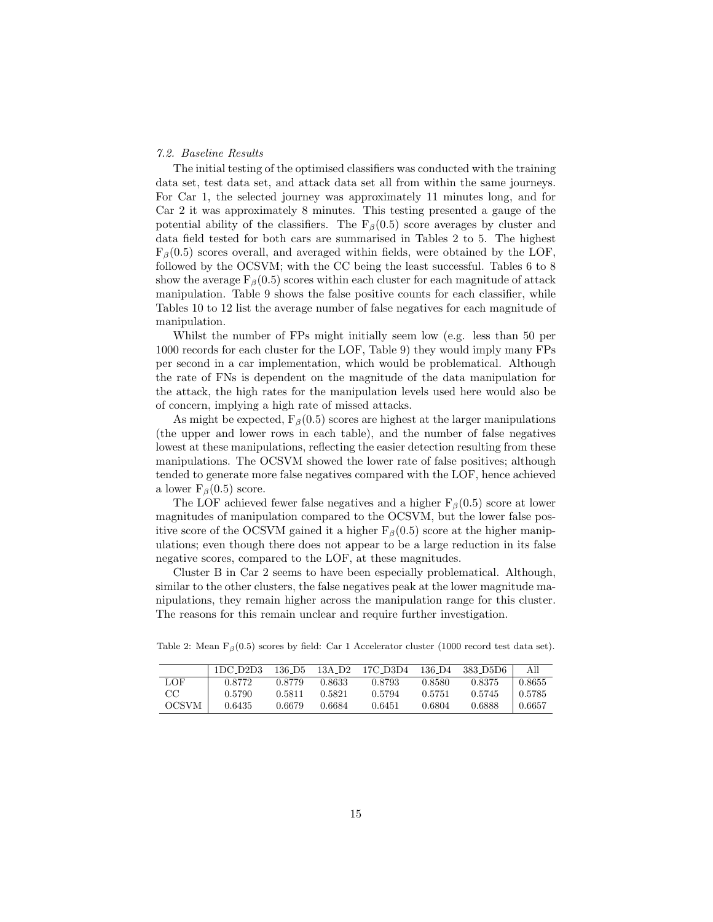### 7.2. Baseline Results

The initial testing of the optimised classifiers was conducted with the training data set, test data set, and attack data set all from within the same journeys. For Car 1, the selected journey was approximately 11 minutes long, and for Car 2 it was approximately 8 minutes. This testing presented a gauge of the potential ability of the classifiers. The  $F_\beta(0.5)$  score averages by cluster and data field tested for both cars are summarised in Tables 2 to 5. The highest  $F<sub>β</sub>(0.5)$  scores overall, and averaged within fields, were obtained by the LOF, followed by the OCSVM; with the CC being the least successful. Tables 6 to 8 show the average  $F_\beta(0.5)$  scores within each cluster for each magnitude of attack manipulation. Table 9 shows the false positive counts for each classifier, while Tables 10 to 12 list the average number of false negatives for each magnitude of manipulation.

Whilst the number of FPs might initially seem low (e.g. less than 50 per 1000 records for each cluster for the LOF, Table 9) they would imply many FPs per second in a car implementation, which would be problematical. Although the rate of FNs is dependent on the magnitude of the data manipulation for the attack, the high rates for the manipulation levels used here would also be of concern, implying a high rate of missed attacks.

As might be expected,  $F_\beta(0.5)$  scores are highest at the larger manipulations (the upper and lower rows in each table), and the number of false negatives lowest at these manipulations, reflecting the easier detection resulting from these manipulations. The OCSVM showed the lower rate of false positives; although tended to generate more false negatives compared with the LOF, hence achieved a lower  $F<sub>β</sub>(0.5)$  score.

The LOF achieved fewer false negatives and a higher  $F_\beta(0.5)$  score at lower magnitudes of manipulation compared to the OCSVM, but the lower false positive score of the OCSVM gained it a higher  $F_\beta(0.5)$  score at the higher manipulations; even though there does not appear to be a large reduction in its false negative scores, compared to the LOF, at these magnitudes.

Cluster B in Car 2 seems to have been especially problematical. Although, similar to the other clusters, the false negatives peak at the lower magnitude manipulations, they remain higher across the manipulation range for this cluster. The reasons for this remain unclear and require further investigation.

|       | 1DC D2D3 | 136 D5 | 13A D <sub>2</sub> | 17C D3D4 | 136 D4 | -383 D5D6 | All    |
|-------|----------|--------|--------------------|----------|--------|-----------|--------|
| LOF   | 0.8772   | 0.8779 | 0.8633             | 0.8793   | 0.8580 | 0.8375    | 0.8655 |
| CC    | 0.5790   | 0.5811 | 0.5821             | 0.5794   | 0.5751 | 0.5745    | 0.5785 |
| OCSVM | 0.6435   | 0.6679 | 0.6684             | 0.6451   | 0.6804 | 0.6888    | 0.6657 |

Table 2: Mean  $F_\beta(0.5)$  scores by field: Car 1 Accelerator cluster (1000 record test data set).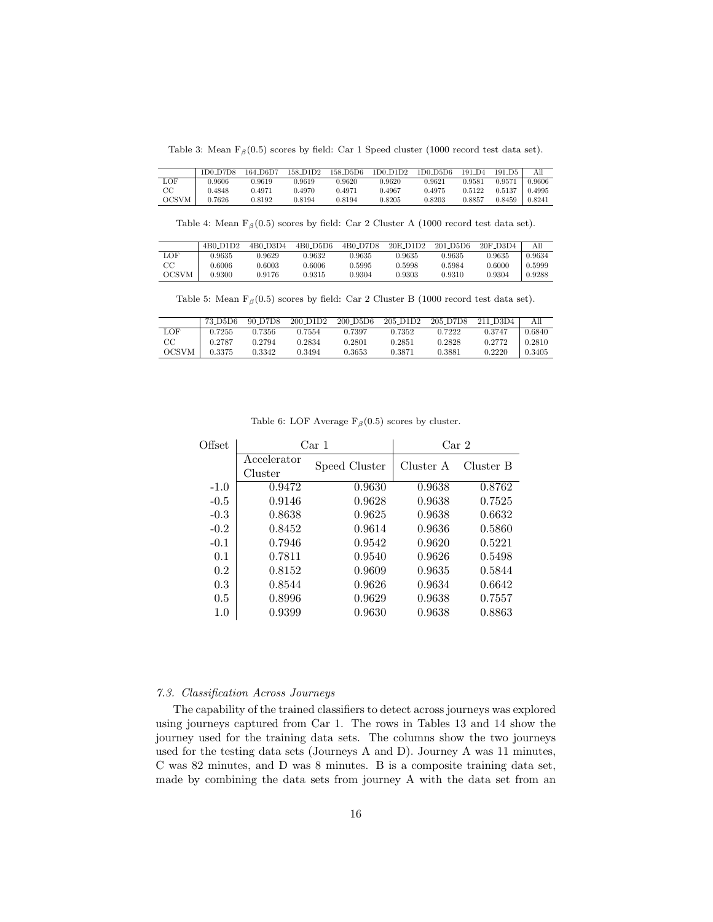Table 3: Mean  $F_\beta(0.5)$  scores by field: Car 1 Speed cluster (1000 record test data set).

|              | 1D0 D7D8 | 164 D6D7 | 158 D1D2 | 158 D5D6 | 1D0 D1D2 | 1D0 D5D6 | 191 D <sub>4</sub> | 191 D <sub>5</sub> | All    |
|--------------|----------|----------|----------|----------|----------|----------|--------------------|--------------------|--------|
| LOF          | 0.9606   | 0.9619   | 0.9619   | 0.9620   | 0.9620   | 0.9621   | 0.9581             | 0.9571             | 0.9606 |
| $_{\rm CC}$  | 1.4848   | በ 4971   | 0.4970   | 0.4971   | 0.4967   | 0.4975   | 0.5122             | 0.5137             | 0.4995 |
| <b>OCSVM</b> | 0.7626   | 0.8192   | 0.8194   | 0.8194   | 0.8205   | 0.8203   | 0.8857             | 0.8459             | 0.8241 |

Table 4: Mean  $F_\beta(0.5)$  scores by field: Car 2 Cluster A (1000 record test data set).

|              | 4B <sub>0</sub> D <sub>1</sub> D <sub>2</sub> | 4B0 D3D4 | 4B0 D5D6               | 4B0 D7D8 | 20E D <sub>1</sub> D <sub>2</sub> | 201 D5D6 | 20F_D3D4 |        |
|--------------|-----------------------------------------------|----------|------------------------|----------|-----------------------------------|----------|----------|--------|
| LOF          | 0.9635                                        | 0.9629   | 2.9632                 | 0.9635   | 0.9635                            | 0.9635   | 0.9635   | 0.9634 |
| CC           | 0.6006                                        | 0.6003   | 0.6006                 | 0.5995   | 0.5998                            | 0.5984   | 0.6000   | 0.5999 |
| <b>OCSVM</b> | 0.9300                                        | 0.9176   | $\scriptstyle{0.9315}$ | 0.9304   | 0.9303                            | 0.9310   | 0.9304   | 0.9288 |

Table 5: Mean  $F_\beta(0.5)$  scores by field: Car 2 Cluster B (1000 record test data set).

|             | 73 D5D6 | 90 D7D8 | 200 D <sub>1</sub> D <sub>2</sub> | $200$ D5D6 | 205 D <sub>1</sub> D <sub>2</sub> | 205 D7D8 | 211 D3D4 | All    |
|-------------|---------|---------|-----------------------------------|------------|-----------------------------------|----------|----------|--------|
| LOF         | 0.7255  | 0.7356  | 0.7554                            | 0.7397     | 0.7352                            | 0.7222   | 0.3747   | 0.6840 |
| $_{\rm CC}$ | 0.2787  | 0.2794  | 0.2834                            | 0.2801     | 0.2851                            | 0.2828   | 0.2772   | 0.2810 |
| OCSVM       | 0.3375  | 0.3342  | 0.3494                            | 0.3653     | 0.3871                            | 0.3881   | 0.2220   | 0.3405 |

| Offset |                        | Car 1         | Car 2     |           |  |
|--------|------------------------|---------------|-----------|-----------|--|
|        | Accelerator<br>Cluster | Speed Cluster | Cluster A | Cluster B |  |
| $-1.0$ | 0.9472                 | 0.9630        | 0.9638    | 0.8762    |  |
| $-0.5$ | 0.9146                 | 0.9628        | 0.9638    | 0.7525    |  |
| $-0.3$ | 0.8638                 | 0.9625        | 0.9638    | 0.6632    |  |
| $-0.2$ | 0.8452                 | 0.9614        | 0.9636    | 0.5860    |  |
| $-0.1$ | 0.7946                 | 0.9542        | 0.9620    | 0.5221    |  |
| 0.1    | 0.7811                 | 0.9540        | 0.9626    | 0.5498    |  |
| 0.2    | 0.8152                 | 0.9609        | 0.9635    | 0.5844    |  |
| 0.3    | 0.8544                 | 0.9626        | 0.9634    | 0.6642    |  |
| 0.5    | 0.8996                 | 0.9629        | 0.9638    | 0.7557    |  |
| 1.0    | 0.9399                 | 0.9630        | 0.9638    | 0.8863    |  |

Table 6: LOF Average  $F_\beta(0.5)$  scores by cluster.

#### 7.3. Classification Across Journeys

The capability of the trained classifiers to detect across journeys was explored using journeys captured from Car 1. The rows in Tables 13 and 14 show the journey used for the training data sets. The columns show the two journeys used for the testing data sets (Journeys A and D). Journey A was 11 minutes, C was 82 minutes, and D was 8 minutes. B is a composite training data set, made by combining the data sets from journey A with the data set from an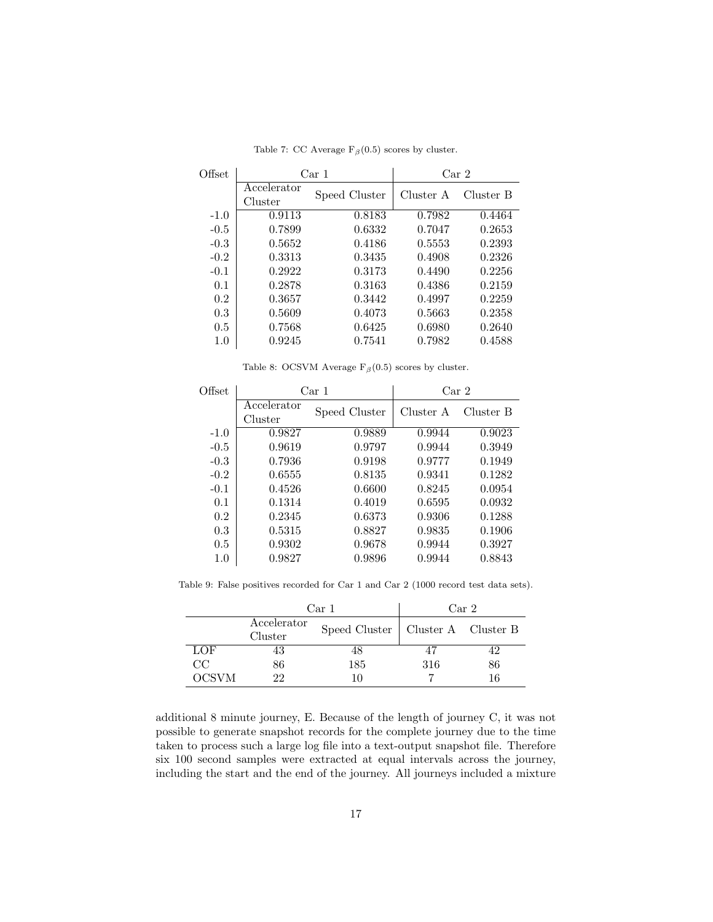| Offset |                        | Car 1         | Car 2     |           |  |
|--------|------------------------|---------------|-----------|-----------|--|
|        | Accelerator<br>Cluster | Speed Cluster | Cluster A | Cluster B |  |
| $-1.0$ | 0.9113                 | 0.8183        | 0.7982    | 0.4464    |  |
| $-0.5$ | 0.7899                 | 0.6332        | 0.7047    | 0.2653    |  |
| $-0.3$ | 0.5652                 | 0.4186        | 0.5553    | 0.2393    |  |
| $-0.2$ | 0.3313                 | 0.3435        | 0.4908    | 0.2326    |  |
| $-0.1$ | 0.2922                 | 0.3173        | 0.4490    | 0.2256    |  |
| 0.1    | 0.2878                 | 0.3163        | 0.4386    | 0.2159    |  |
| 0.2    | 0.3657                 | 0.3442        | 0.4997    | 0.2259    |  |
| 0.3    | 0.5609                 | 0.4073        | 0.5663    | 0.2358    |  |
| 0.5    | 0.7568                 | 0.6425        | 0.6980    | 0.2640    |  |
| 1.0    | 0.9245                 | 0.7541        | 0.7982    | 0.4588    |  |

Table 7: CC Average  $F_\beta(0.5)$  scores by cluster.

Table 8: OCSVM Average  $F_\beta(0.5)$  scores by cluster.

| Offset |                        | Car 1         | Car <sub>2</sub> |           |  |
|--------|------------------------|---------------|------------------|-----------|--|
|        | Accelerator<br>Cluster | Speed Cluster | Cluster A        | Cluster B |  |
| $-1.0$ | 0.9827                 | 0.9889        | 0.9944           | 0.9023    |  |
| $-0.5$ | 0.9619                 | 0.9797        | 0.9944           | 0.3949    |  |
| $-0.3$ | 0.7936                 | 0.9198        | 0.9777           | 0.1949    |  |
| $-0.2$ | 0.6555                 | 0.8135        | 0.9341           | 0.1282    |  |
| $-0.1$ | 0.4526                 | 0.6600        | 0.8245           | 0.0954    |  |
| 0.1    | 0.1314                 | 0.4019        | 0.6595           | 0.0932    |  |
| 0.2    | 0.2345                 | 0.6373        | 0.9306           | 0.1288    |  |
| 0.3    | 0.5315                 | 0.8827        | 0.9835           | 0.1906    |  |
| 0.5    | 0.9302                 | 0.9678        | 0.9944           | 0.3927    |  |
| 1.0    | 0.9827                 | 0.9896        | 0.9944           | 0.8843    |  |

Table 9: False positives recorded for Car 1 and Car 2 (1000 record test data sets).

|       |                        | Car 1                               | Car <sub>2</sub> |    |  |
|-------|------------------------|-------------------------------------|------------------|----|--|
|       | Accelerator<br>Cluster | Speed Cluster   Cluster A Cluster B |                  |    |  |
| LOF   | 43                     | 48                                  | 47               | 42 |  |
| CC    | 86                     | 185                                 | 316              | 86 |  |
| OCSVM | າາ                     |                                     |                  |    |  |

additional 8 minute journey, E. Because of the length of journey C, it was not possible to generate snapshot records for the complete journey due to the time taken to process such a large log file into a text-output snapshot file. Therefore six 100 second samples were extracted at equal intervals across the journey, including the start and the end of the journey. All journeys included a mixture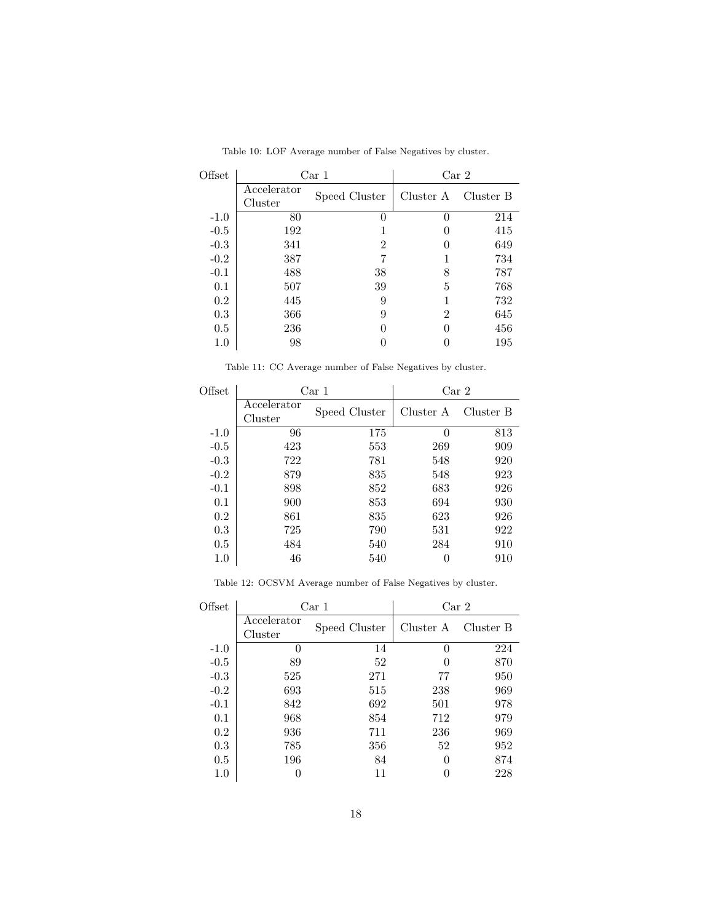| Offset |                        | Car 1         | Car <sub>2</sub> |           |  |
|--------|------------------------|---------------|------------------|-----------|--|
|        | Accelerator<br>Cluster | Speed Cluster | Cluster A        | Cluster B |  |
| $-1.0$ | 80                     | 0             |                  | 214       |  |
| $-0.5$ | 192                    |               |                  | 415       |  |
| $-0.3$ | 341                    | 2             |                  | 649       |  |
| $-0.2$ | 387                    | 7             |                  | 734       |  |
| $-0.1$ | 488                    | 38            | 8                | 787       |  |
| 0.1    | 507                    | 39            | 5                | 768       |  |
| 0.2    | 445                    | 9             |                  | 732       |  |
| 0.3    | 366                    | 9             | 2                | 645       |  |
| 0.5    | 236                    | 0             |                  | 456       |  |
| 1.0    | 98                     |               |                  | 195       |  |

Table 10: LOF Average number of False Negatives by cluster.

Table 11: CC Average number of False Negatives by cluster.

| Offset  |                        | Car <sub>1</sub> | Car <sub>2</sub> |           |  |
|---------|------------------------|------------------|------------------|-----------|--|
|         | Accelerator<br>Cluster | Speed Cluster    | Cluster A        | Cluster B |  |
| $-1.0$  | 96                     | 175              | 0                | 813       |  |
| $-0.5$  | 423                    | 553              | 269              | 909       |  |
| $-0.3$  | 722                    | 781              | 548              | 920       |  |
| $-0.2$  | 879                    | 835              | 548              | 923       |  |
| $-0.1$  | 898                    | 852              | 683              | 926       |  |
| 0.1     | 900                    | 853              | 694              | 930       |  |
| $0.2\,$ | 861                    | 835              | 623              | 926       |  |
| 0.3     | 725                    | 790              | 531              | 922       |  |
| 0.5     | 484                    | 540              | 284              | 910       |  |
| 1.0     | 46                     | 540              | $\theta$         | 910       |  |
|         |                        |                  |                  |           |  |

Table 12: OCSVM Average number of False Negatives by cluster.

| Offset  |                        | Car 1         | Car <sub>2</sub> |           |  |
|---------|------------------------|---------------|------------------|-----------|--|
|         | Accelerator<br>Cluster | Speed Cluster | Cluster A        | Cluster B |  |
| $-1.0$  | $\Omega$               | 14            | 0                | 224       |  |
| $-0.5$  | 89                     | 52            | $\mathbf{0}$     | 870       |  |
| $-0.3$  | 525                    | 271           | 77               | 950       |  |
| $-0.2$  | 693                    | 515           | 238              | 969       |  |
| $-0.1$  | 842                    | 692           | 501              | 978       |  |
| 0.1     | 968                    | 854           | 712              | 979       |  |
| $0.2\,$ | 936                    | 711           | 236              | 969       |  |
| 0.3     | 785                    | 356           | 52               | 952       |  |
| 0.5     | 196                    | 84            |                  | 874       |  |
| $1.0\,$ |                        | 11            |                  | 228       |  |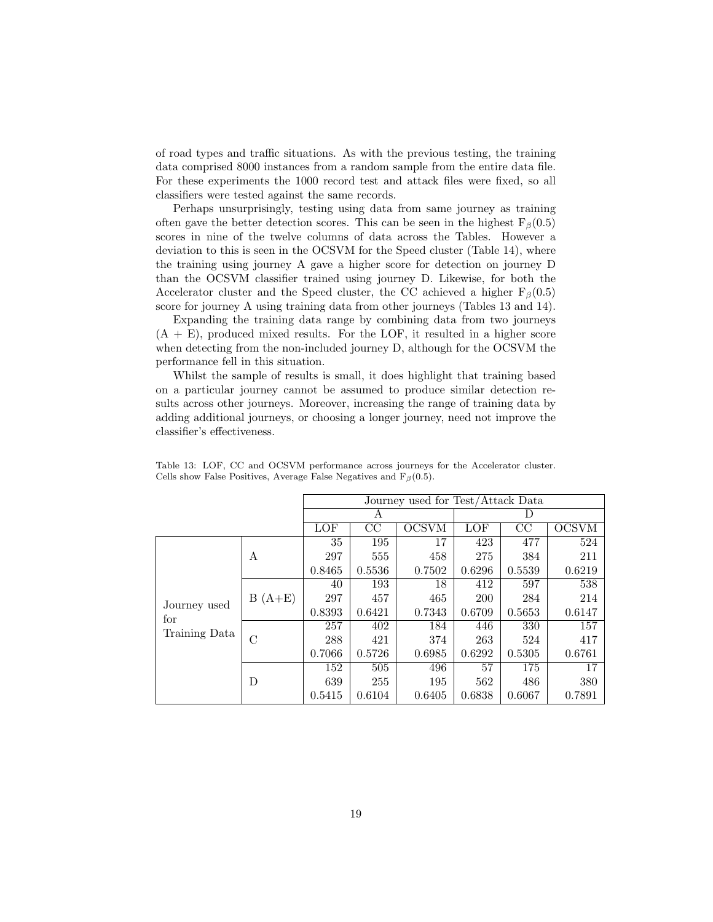of road types and traffic situations. As with the previous testing, the training data comprised 8000 instances from a random sample from the entire data file. For these experiments the 1000 record test and attack files were fixed, so all classifiers were tested against the same records.

Perhaps unsurprisingly, testing using data from same journey as training often gave the better detection scores. This can be seen in the highest  $F_\beta(0.5)$ scores in nine of the twelve columns of data across the Tables. However a deviation to this is seen in the OCSVM for the Speed cluster (Table 14), where the training using journey A gave a higher score for detection on journey D than the OCSVM classifier trained using journey D. Likewise, for both the Accelerator cluster and the Speed cluster, the CC achieved a higher  $F_\beta(0.5)$ score for journey A using training data from other journeys (Tables 13 and 14).

Expanding the training data range by combining data from two journeys  $(A + E)$ , produced mixed results. For the LOF, it resulted in a higher score when detecting from the non-included journey D, although for the OCSVM the performance fell in this situation.

Whilst the sample of results is small, it does highlight that training based on a particular journey cannot be assumed to produce similar detection results across other journeys. Moreover, increasing the range of training data by adding additional journeys, or choosing a longer journey, need not improve the classifier's effectiveness.

|                     |          | Journey used for Test/Attack Data |        |              |            |        |              |
|---------------------|----------|-----------------------------------|--------|--------------|------------|--------|--------------|
|                     | А        |                                   |        | Ð            |            |        |              |
|                     |          | LOF                               | CC     | <b>OCSVM</b> | LOF        | CC     | <b>OCSVM</b> |
|                     |          | 35                                | 195    | 17           | 423        | 477    | 524          |
|                     | А        | 297                               | 555    | 458          | 275        | 384    | 211          |
|                     |          | 0.8465                            | 0.5536 | 0.7502       | 0.6296     | 0.5539 | 0.6219       |
|                     |          | 40                                | 193    | 18           | 412        | 597    | 538          |
|                     | $B(A+E)$ | 297                               | 457    | 465          | <b>200</b> | 284    | 214          |
| Journey used<br>for |          | 0.8393                            | 0.6421 | 0.7343       | 0.6709     | 0.5653 | 0.6147       |
| Training Data       |          | 257                               | 402    | 184          | 446        | 330    | 157          |
|                     | C        | 288                               | 421    | 374          | 263        | 524    | 417          |
|                     |          | 0.7066                            | 0.5726 | 0.6985       | 0.6292     | 0.5305 | 0.6761       |
|                     |          | 152                               | 505    | 496          | 57         | 175    | 17           |
|                     | D        | 639                               | 255    | 195          | 562        | 486    | 380          |
|                     |          | 0.5415                            | 0.6104 | 0.6405       | 0.6838     | 0.6067 | 0.7891       |

Table 13: LOF, CC and OCSVM performance across journeys for the Accelerator cluster. Cells show False Positives, Average False Negatives and  $F_\beta(0.5)$ .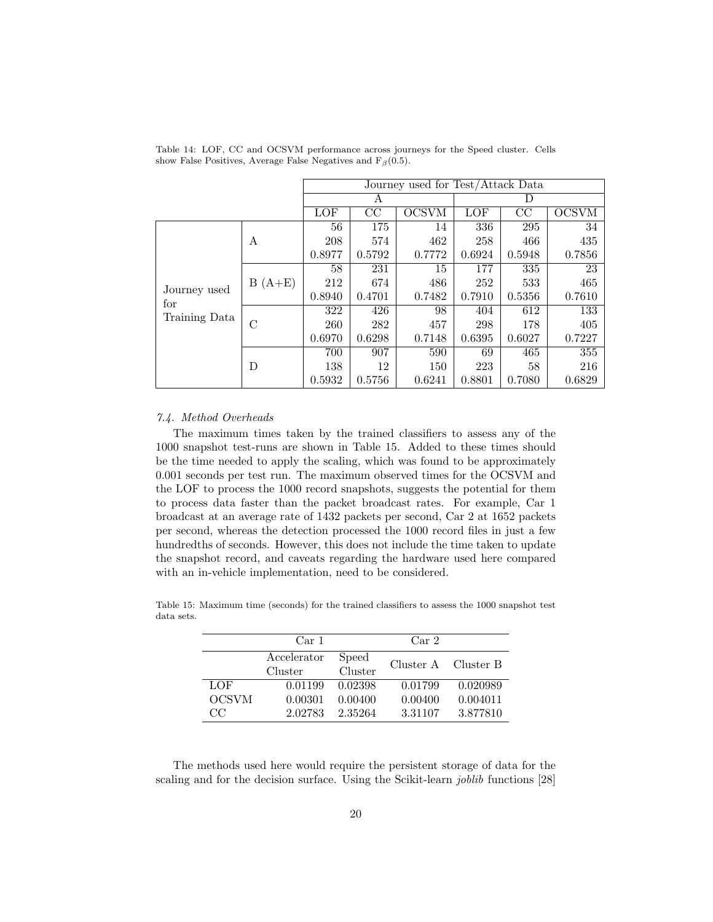|                                      |          | Journey used for Test/Attack Data |        |              |        |        |              |
|--------------------------------------|----------|-----------------------------------|--------|--------------|--------|--------|--------------|
|                                      | А        |                                   |        | D            |        |        |              |
|                                      |          | <b>LOF</b>                        | CC     | <b>OCSVM</b> | LOF    | CC     | <b>OCSVM</b> |
|                                      |          | 56                                | 175    | 14           | 336    | 295    | 34           |
|                                      | А        | 208                               | 574    | 462          | 258    | 466    | 435          |
|                                      |          | 0.8977                            | 0.5792 | 0.7772       | 0.6924 | 0.5948 | 0.7856       |
|                                      | $B(A+E)$ | 58                                | 231    | 15           | 177    | 335    | 23           |
|                                      |          | 212                               | 674    | 486          | 252    | 533    | 465          |
| Journey used<br>for<br>Training Data |          | 0.8940                            | 0.4701 | 0.7482       | 0.7910 | 0.5356 | 0.7610       |
|                                      |          | 322                               | 426    | 98           | 404    | 612    | 133          |
|                                      | С        | 260                               | 282    | 457          | 298    | 178    | 405          |
|                                      |          | 0.6970                            | 0.6298 | 0.7148       | 0.6395 | 0.6027 | 0.7227       |
|                                      |          | 700                               | 907    | 590          | 69     | 465    | 355          |
|                                      | D        | 138                               | 12     | 150          | 223    | 58     | 216          |
|                                      |          | 0.5932                            | 0.5756 | 0.6241       | 0.8801 | 0.7080 | 0.6829       |

Table 14: LOF, CC and OCSVM performance across journeys for the Speed cluster. Cells show False Positives, Average False Negatives and  $F_\beta(0.5)$ .

#### 7.4. Method Overheads

The maximum times taken by the trained classifiers to assess any of the 1000 snapshot test-runs are shown in Table 15. Added to these times should be the time needed to apply the scaling, which was found to be approximately 0.001 seconds per test run. The maximum observed times for the OCSVM and the LOF to process the 1000 record snapshots, suggests the potential for them to process data faster than the packet broadcast rates. For example, Car 1 broadcast at an average rate of 1432 packets per second, Car 2 at 1652 packets per second, whereas the detection processed the 1000 record files in just a few hundredths of seconds. However, this does not include the time taken to update the snapshot record, and caveats regarding the hardware used here compared with an in-vehicle implementation, need to be considered.

|              | Car <sub>1</sub> |         | Car <sub>2</sub> |                     |
|--------------|------------------|---------|------------------|---------------------|
|              | Accelerator      | Speed   |                  | Cluster A Cluster B |
|              | Cluster          | Cluster |                  |                     |
| LOF          | 0.01199          | 0.02398 | 0.01799          | 0.020989            |
| <b>OCSVM</b> | 0.00301          | 0.00400 | 0.00400          | 0.004011            |
| CC           | 2.02783          | 2.35264 | 3.31107          | 3.877810            |

Table 15: Maximum time (seconds) for the trained classifiers to assess the 1000 snapshot test data sets.

The methods used here would require the persistent storage of data for the scaling and for the decision surface. Using the Scikit-learn *joblib* functions [28]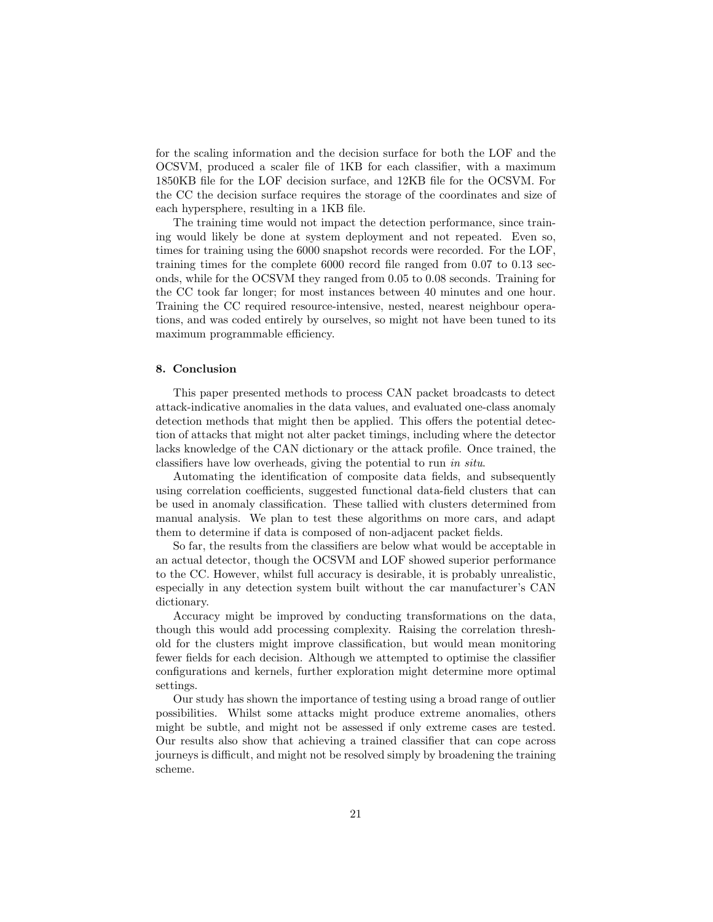for the scaling information and the decision surface for both the LOF and the OCSVM, produced a scaler file of 1KB for each classifier, with a maximum 1850KB file for the LOF decision surface, and 12KB file for the OCSVM. For the CC the decision surface requires the storage of the coordinates and size of each hypersphere, resulting in a 1KB file.

The training time would not impact the detection performance, since training would likely be done at system deployment and not repeated. Even so, times for training using the 6000 snapshot records were recorded. For the LOF, training times for the complete 6000 record file ranged from 0.07 to 0.13 seconds, while for the OCSVM they ranged from 0.05 to 0.08 seconds. Training for the CC took far longer; for most instances between 40 minutes and one hour. Training the CC required resource-intensive, nested, nearest neighbour operations, and was coded entirely by ourselves, so might not have been tuned to its maximum programmable efficiency.

# 8. Conclusion

This paper presented methods to process CAN packet broadcasts to detect attack-indicative anomalies in the data values, and evaluated one-class anomaly detection methods that might then be applied. This offers the potential detection of attacks that might not alter packet timings, including where the detector lacks knowledge of the CAN dictionary or the attack profile. Once trained, the classifiers have low overheads, giving the potential to run in situ.

Automating the identification of composite data fields, and subsequently using correlation coefficients, suggested functional data-field clusters that can be used in anomaly classification. These tallied with clusters determined from manual analysis. We plan to test these algorithms on more cars, and adapt them to determine if data is composed of non-adjacent packet fields.

So far, the results from the classifiers are below what would be acceptable in an actual detector, though the OCSVM and LOF showed superior performance to the CC. However, whilst full accuracy is desirable, it is probably unrealistic, especially in any detection system built without the car manufacturer's CAN dictionary.

Accuracy might be improved by conducting transformations on the data, though this would add processing complexity. Raising the correlation threshold for the clusters might improve classification, but would mean monitoring fewer fields for each decision. Although we attempted to optimise the classifier configurations and kernels, further exploration might determine more optimal settings.

Our study has shown the importance of testing using a broad range of outlier possibilities. Whilst some attacks might produce extreme anomalies, others might be subtle, and might not be assessed if only extreme cases are tested. Our results also show that achieving a trained classifier that can cope across journeys is difficult, and might not be resolved simply by broadening the training scheme.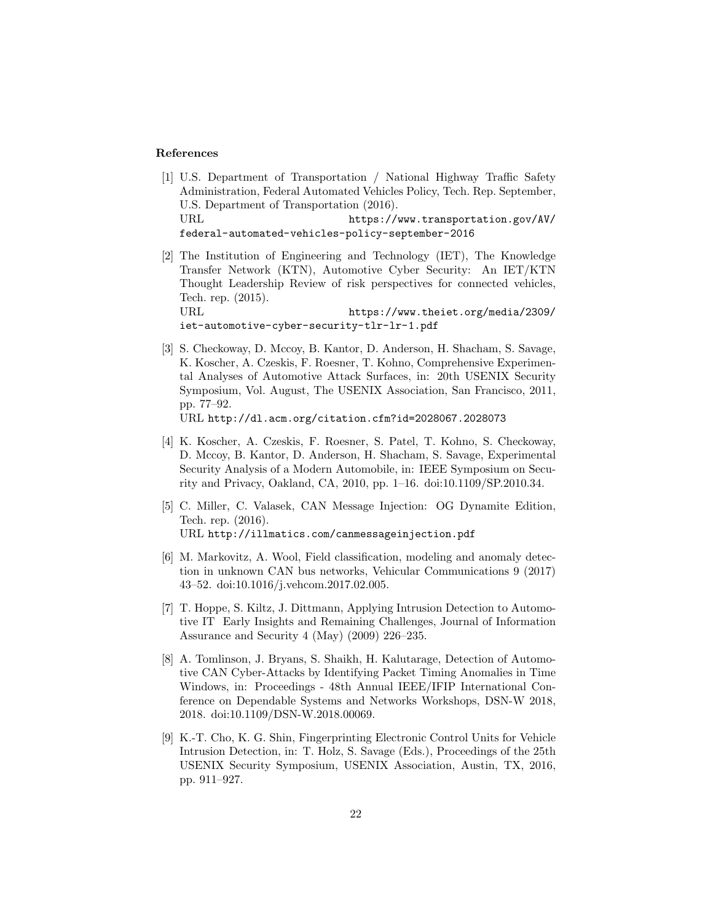### References

- [1] U.S. Department of Transportation / National Highway Traffic Safety Administration, Federal Automated Vehicles Policy, Tech. Rep. September, U.S. Department of Transportation (2016). URL https://www.transportation.gov/AV/ federal-automated-vehicles-policy-september-2016
- [2] The Institution of Engineering and Technology (IET), The Knowledge Transfer Network (KTN), Automotive Cyber Security: An IET/KTN Thought Leadership Review of risk perspectives for connected vehicles, Tech. rep. (2015). URL https://www.theiet.org/media/2309/

iet-automotive-cyber-security-tlr-lr-1.pdf

[3] S. Checkoway, D. Mccoy, B. Kantor, D. Anderson, H. Shacham, S. Savage, K. Koscher, A. Czeskis, F. Roesner, T. Kohno, Comprehensive Experimental Analyses of Automotive Attack Surfaces, in: 20th USENIX Security Symposium, Vol. August, The USENIX Association, San Francisco, 2011, pp. 77–92. URL http://dl.acm.org/citation.cfm?id=2028067.2028073

[4] K. Koscher, A. Czeskis, F. Roesner, S. Patel, T. Kohno, S. Checkoway,

- D. Mccoy, B. Kantor, D. Anderson, H. Shacham, S. Savage, Experimental Security Analysis of a Modern Automobile, in: IEEE Symposium on Security and Privacy, Oakland, CA, 2010, pp. 1–16. doi:10.1109/SP.2010.34.
- [5] C. Miller, C. Valasek, CAN Message Injection: OG Dynamite Edition, Tech. rep. (2016). URL http://illmatics.com/canmessageinjection.pdf
- [6] M. Markovitz, A. Wool, Field classification, modeling and anomaly detection in unknown CAN bus networks, Vehicular Communications 9 (2017) 43–52. doi:10.1016/j.vehcom.2017.02.005.
- [7] T. Hoppe, S. Kiltz, J. Dittmann, Applying Intrusion Detection to Automotive IT Early Insights and Remaining Challenges, Journal of Information Assurance and Security 4 (May) (2009) 226–235.
- [8] A. Tomlinson, J. Bryans, S. Shaikh, H. Kalutarage, Detection of Automotive CAN Cyber-Attacks by Identifying Packet Timing Anomalies in Time Windows, in: Proceedings - 48th Annual IEEE/IFIP International Conference on Dependable Systems and Networks Workshops, DSN-W 2018, 2018. doi:10.1109/DSN-W.2018.00069.
- [9] K.-T. Cho, K. G. Shin, Fingerprinting Electronic Control Units for Vehicle Intrusion Detection, in: T. Holz, S. Savage (Eds.), Proceedings of the 25th USENIX Security Symposium, USENIX Association, Austin, TX, 2016, pp. 911–927.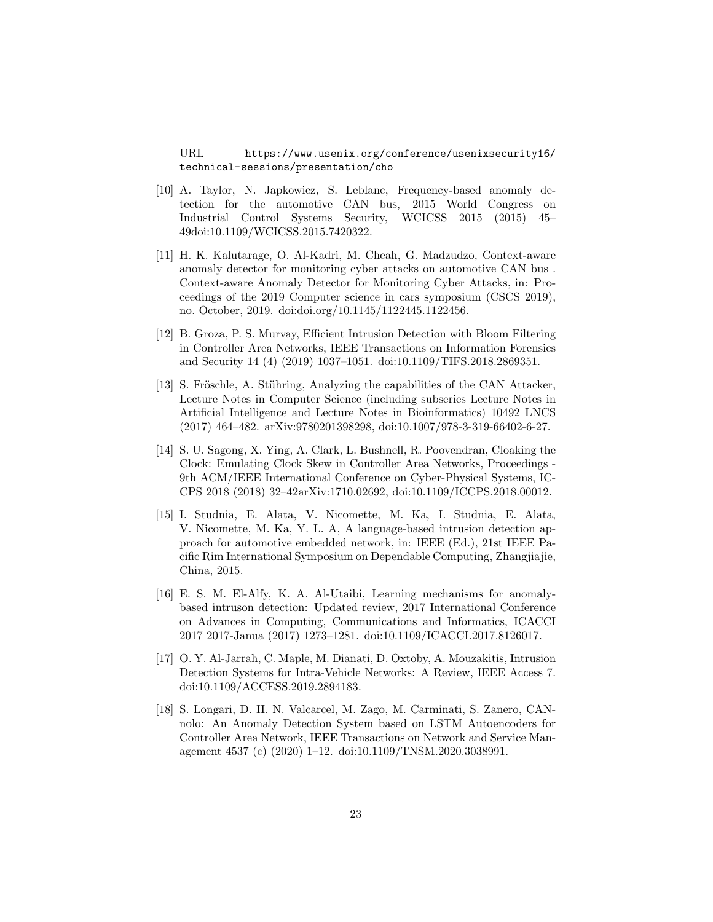URL https://www.usenix.org/conference/usenixsecurity16/ technical-sessions/presentation/cho

- [10] A. Taylor, N. Japkowicz, S. Leblanc, Frequency-based anomaly detection for the automotive CAN bus, 2015 World Congress on Industrial Control Systems Security, WCICSS 2015 (2015) 45– 49doi:10.1109/WCICSS.2015.7420322.
- [11] H. K. Kalutarage, O. Al-Kadri, M. Cheah, G. Madzudzo, Context-aware anomaly detector for monitoring cyber attacks on automotive CAN bus . Context-aware Anomaly Detector for Monitoring Cyber Attacks, in: Proceedings of the 2019 Computer science in cars symposium (CSCS 2019), no. October, 2019. doi:doi.org/10.1145/1122445.1122456.
- [12] B. Groza, P. S. Murvay, Efficient Intrusion Detection with Bloom Filtering in Controller Area Networks, IEEE Transactions on Information Forensics and Security 14 (4) (2019) 1037–1051. doi:10.1109/TIFS.2018.2869351.
- [13] S. Fröschle, A. Stühring, Analyzing the capabilities of the CAN Attacker, Lecture Notes in Computer Science (including subseries Lecture Notes in Artificial Intelligence and Lecture Notes in Bioinformatics) 10492 LNCS (2017) 464–482. arXiv:9780201398298, doi:10.1007/978-3-319-66402-6-27.
- [14] S. U. Sagong, X. Ying, A. Clark, L. Bushnell, R. Poovendran, Cloaking the Clock: Emulating Clock Skew in Controller Area Networks, Proceedings - 9th ACM/IEEE International Conference on Cyber-Physical Systems, IC-CPS 2018 (2018) 32–42arXiv:1710.02692, doi:10.1109/ICCPS.2018.00012.
- [15] I. Studnia, E. Alata, V. Nicomette, M. Ka, I. Studnia, E. Alata, V. Nicomette, M. Ka, Y. L. A, A language-based intrusion detection approach for automotive embedded network, in: IEEE (Ed.), 21st IEEE Pacific Rim International Symposium on Dependable Computing, Zhangjiajie, China, 2015.
- [16] E. S. M. El-Alfy, K. A. Al-Utaibi, Learning mechanisms for anomalybased intruson detection: Updated review, 2017 International Conference on Advances in Computing, Communications and Informatics, ICACCI 2017 2017-Janua (2017) 1273–1281. doi:10.1109/ICACCI.2017.8126017.
- [17] O. Y. Al-Jarrah, C. Maple, M. Dianati, D. Oxtoby, A. Mouzakitis, Intrusion Detection Systems for Intra-Vehicle Networks: A Review, IEEE Access 7. doi:10.1109/ACCESS.2019.2894183.
- [18] S. Longari, D. H. N. Valcarcel, M. Zago, M. Carminati, S. Zanero, CANnolo: An Anomaly Detection System based on LSTM Autoencoders for Controller Area Network, IEEE Transactions on Network and Service Management 4537 (c) (2020) 1–12. doi:10.1109/TNSM.2020.3038991.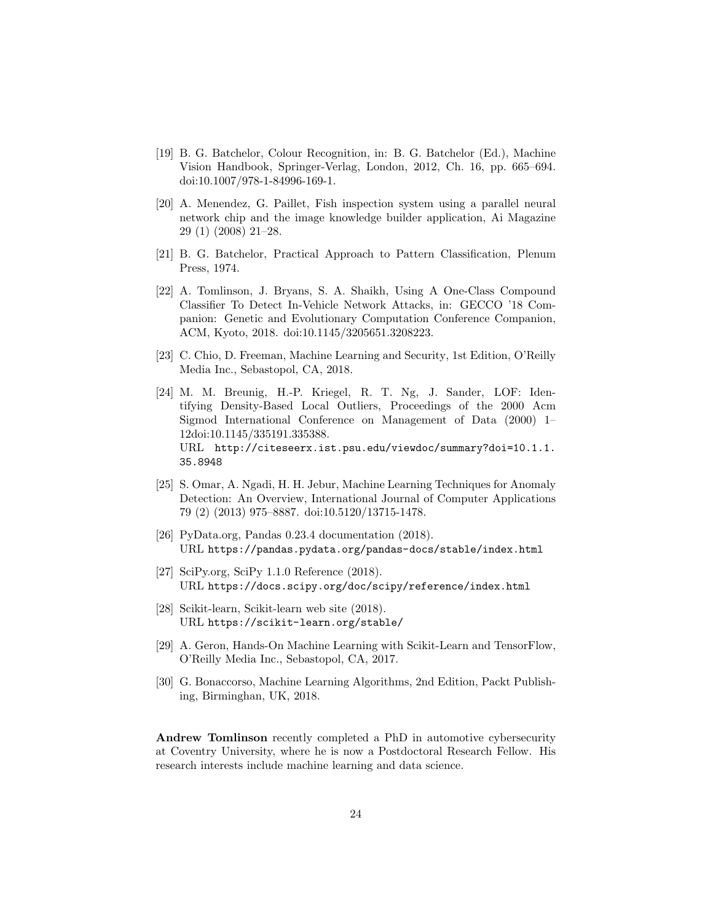- [19] B. G. Batchelor, Colour Recognition, in: B. G. Batchelor (Ed.), Machine Vision Handbook, Springer-Verlag, London, 2012, Ch. 16, pp. 665–694. doi:10.1007/978-1-84996-169-1.
- [20] A. Menendez, G. Paillet, Fish inspection system using a parallel neural network chip and the image knowledge builder application, Ai Magazine 29 (1) (2008) 21–28.
- [21] B. G. Batchelor, Practical Approach to Pattern Classification, Plenum Press, 1974.
- [22] A. Tomlinson, J. Bryans, S. A. Shaikh, Using A One-Class Compound Classifier To Detect In-Vehicle Network Attacks, in: GECCO '18 Companion: Genetic and Evolutionary Computation Conference Companion, ACM, Kyoto, 2018. doi:10.1145/3205651.3208223.
- [23] C. Chio, D. Freeman, Machine Learning and Security, 1st Edition, O'Reilly Media Inc., Sebastopol, CA, 2018.
- [24] M. M. Breunig, H.-P. Kriegel, R. T. Ng, J. Sander, LOF: Identifying Density-Based Local Outliers, Proceedings of the 2000 Acm Sigmod International Conference on Management of Data (2000) 1– 12doi:10.1145/335191.335388. URL http://citeseerx.ist.psu.edu/viewdoc/summary?doi=10.1.1. 35.8948
- [25] S. Omar, A. Ngadi, H. H. Jebur, Machine Learning Techniques for Anomaly Detection: An Overview, International Journal of Computer Applications 79 (2) (2013) 975–8887. doi:10.5120/13715-1478.
- [26] PyData.org, Pandas 0.23.4 documentation (2018). URL https://pandas.pydata.org/pandas-docs/stable/index.html
- [27] SciPy.org, SciPy 1.1.0 Reference  $(2018)$ . URL https://docs.scipy.org/doc/scipy/reference/index.html
- [28] Scikit-learn, Scikit-learn web site (2018). URL https://scikit-learn.org/stable/
- [29] A. Geron, Hands-On Machine Learning with Scikit-Learn and TensorFlow, O'Reilly Media Inc., Sebastopol, CA, 2017.
- [30] G. Bonaccorso, Machine Learning Algorithms, 2nd Edition, Packt Publishing, Birminghan, UK, 2018.

Andrew Tomlinson recently completed a PhD in automotive cybersecurity at Coventry University, where he is now a Postdoctoral Research Fellow. His research interests include machine learning and data science.